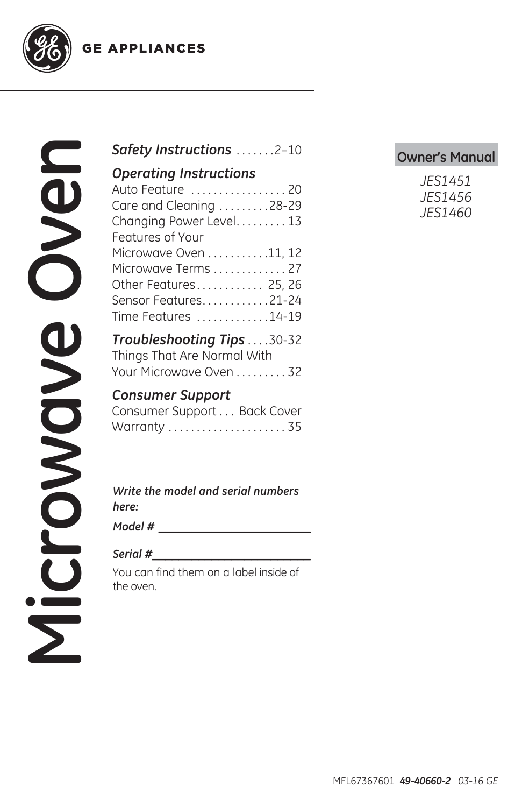**GE APPLIANCES** 



### **Owner's Manual** *Safety Instructions* .......2–10

#### *Operating Instructions*

| Auto Feature  20        |
|-------------------------|
|                         |
| Care and Cleaning 28-29 |
| Changing Power Level 13 |
|                         |
| Microwave Oven 11, 12   |
| Microwave Terms 27      |
| Other Features 25, 26   |
| Sensor Features21-24    |
| Time Features 14-19     |
|                         |

*Troubleshooting Tips* . . . .30-32 Things That Are Normal With Your Microwave Oven . . . . . . . . . 32

### *Consumer Support*

| Consumer Support Back Cover |  |
|-----------------------------|--|
|                             |  |

*Write the model and serial numbers here:*

*Model # \_\_\_\_\_\_\_\_\_\_\_\_\_\_\_\_\_\_\_\_\_\_\_*

#### *Serial #\_\_\_\_\_\_\_\_\_\_\_\_\_\_\_\_\_\_\_\_\_\_\_\_*

You can find them on a label inside of the oven.

| JES1451 |
|---------|
| JES1456 |
| JES1460 |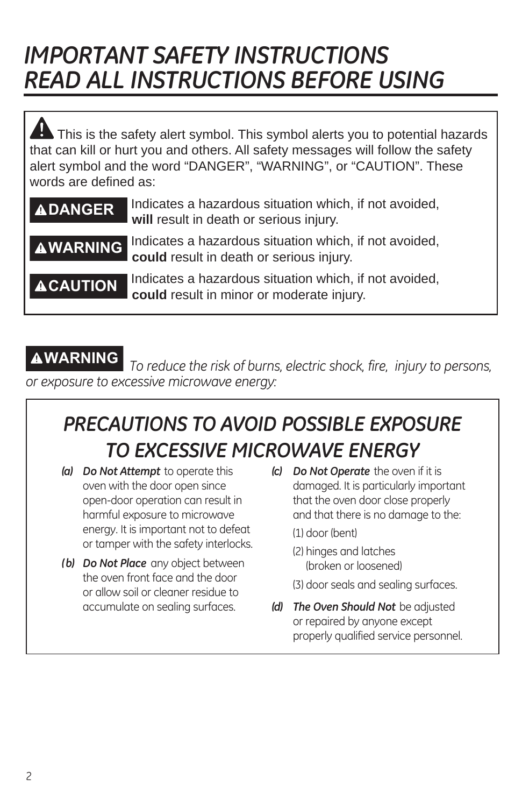# *IMPORTANT SAFETY INSTRUCTIONS READ ALL INSTRUCTIONS BEFORE USING*

This is the safety alert symbol. This symbol alerts you to potential hazards that can kill or hurt you and others. All safety messages will follow the safety alert symbol and the word "DANGER", "WARNING", or "CAUTION". These words are defined as:

| <b>ADANGER</b>  | Indicates a hazardous situation which, if not avoided,<br>will result in death or serious injury.           |
|-----------------|-------------------------------------------------------------------------------------------------------------|
|                 | AWARNING Indicates a hazardous situation which, if not avoided,<br>could result in death or serious injury. |
| <b>ACAUTION</b> | Indicates a hazardous situation which, if not avoided,<br>could result in minor or moderate injury.         |

**WARNING** *To reduce the risk of burns, electric shock, fire, injury to persons, or exposure to excessive microwave energy:*

### *PRECAUTIONS TO AVOID POSSIBLE EXPOSURE TO EXCESSIVE MICROWAVE ENERGY*

- *(a) Do Not Attempt* to operate this oven with the door open since open-door operation can result in harmful exposure to microwave energy. It is important not to defeat or tamper with the safety interlocks.
- *( b) Do Not Place* any object between the oven front face and the door or allow soil or cleaner residue to accumulate on sealing surfaces.
- *(c) Do Not Operate* the oven if it is damaged. It is particularly important that the oven door close properly and that there is no damage to the:
	- (1) door (bent)
	- (2) hinges and latches (broken or loosened)
	- (3) door seals and sealing surfaces.
- *(d) The Oven Should Not* be adjusted or repaired by anyone except properly qualified service personnel.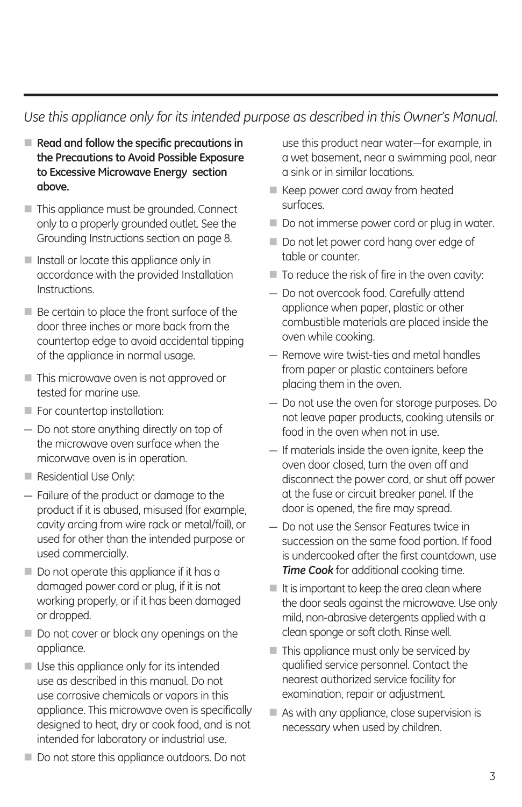### *Use this appliance only for its intended purpose as described in this Owner's Manual.*

- **Read and follow the specific precautions in the Precautions to Avoid Possible Exposure to Excessive Microwave Energy section above.**
- This appliance must be grounded. Connect only to a properly grounded outlet. See the Grounding Instructions section on page 8.
- Install or locate this appliance only in accordance with the provided Installation Instructions.
- $\blacksquare$  Be certain to place the front surface of the door three inches or more back from the countertop edge to avoid accidental tipping of the appliance in normal usage.
- This microwave oven is not approved or tested for marine use.
- For countertop installation:
- $-$  Do not store anything directly on top of the microwave oven surface when the micorwave oven is in operation.
- Residential Use Only:
- Failure of the product or damage to the product if it is abused, misused (for example, cavity arcing from wire rack or metal/foil), or used for other than the intended purpose or used commercially.
- $\blacksquare$  Do not operate this appliance if it has a damaged power cord or plug, if it is not working properly, or if it has been damaged or dropped.
- $\blacksquare$  Do not cover or block any openings on the appliance.
- Use this appliance only for its intended use as described in this manual. Do not use corrosive chemicals or vapors in this appliance. This microwave oven is specifically designed to heat, dry or cook food, and is not intended for laboratory or industrial use.
- $\blacksquare$  Do not store this appliance outdoors. Do not

use this product near water-for example, in a wet basement, near a swimming pool, near a sink or in similar locations.

- Keep power cord away from heated surfaces.
- $\blacksquare$  Do not immerse power cord or plug in water.
- $\blacksquare$  Do not let power cord hang over edge of table or counter.
- $\blacksquare$  To reduce the risk of fire in the oven cavity:
- Do not overcook food. Carefully attend appliance when paper, plastic or other combustible materials are placed inside the oven while cooking.
- Remove wire twist-ties and metal handles from paper or plastic containers before placing them in the oven.
- Do not use the oven for storage purposes. Do not leave paper products, cooking utensils or food in the oven when not in use.
- If materials inside the oven ignite, keep the oven door closed, turn the oven off and disconnect the power cord, or shut off power at the fuse or circuit breaker panel. If the door is opened, the fire may spread.
- $-$  Do not use the Sensor Features twice in succession on the same food portion. If food is undercooked after the first countdown, use *Time Cook* for additional cooking time.
- $\blacksquare$  It is important to keep the area clean where the door seals against the microwave. Use only mild, non-abrasive detergents applied with a clean sponge or soft cloth. Rinse well.
- $\blacksquare$  This appliance must only be serviced by qualified service personnel. Contact the nearest authorized service facility for examination, repair or adjustment.
- As with any appliance, close supervision is necessary when used by children.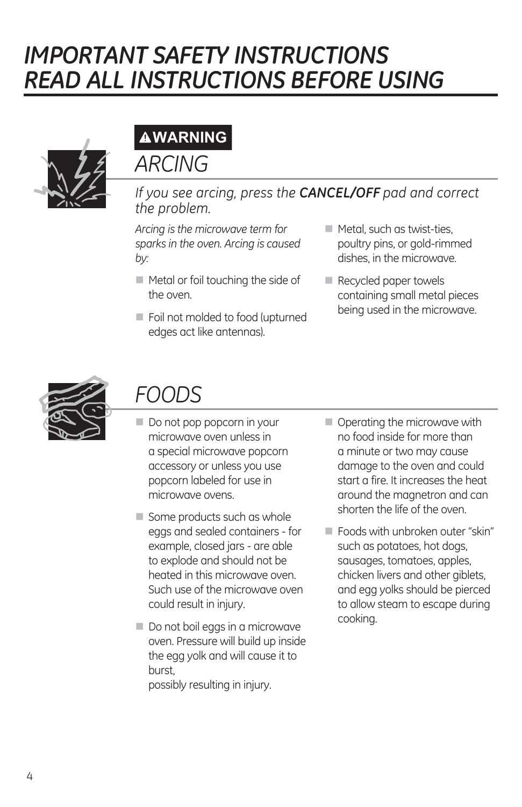# *IMPORTANT SAFETY INSTRUCTIONS READ ALL INSTRUCTIONS BEFORE USING*



# **WARNING**

### *ARCING*

*If you see arcing, press the CANCEL/OFF pad and correct the problem.*

*Arcing is the microwave term for sparks in the oven. Arcing is caused by:*

- $\blacksquare$  Metal or foil touching the side of the oven.
- Foil not molded to food (upturned edges act like antennas).
- $\blacksquare$  Metal, such as twist-ties, poultry pins, or gold-rimmed dishes, in the microwave.
- Recycled paper towels containing small metal pieces being used in the microwave.



### *FOODS*

- $\blacksquare$  Do not pop popcorn in your microwave oven unless in a special microwave popcorn accessory or unless you use popcorn labeled for use in microwave ovens.
- $\blacksquare$  Some products such as whole eggs and sealed containers - for example, closed jars - are able to explode and should not be heated in this microwave oven. Such use of the microwave oven could result in injury.
- $\blacksquare$  Do not boil eggs in a microwave oven. Pressure will build up inside the egg yolk and will cause it to burst, possibly resulting in injury.
- Operating the microwave with no food inside for more than a minute or two may cause damage to the oven and could start a fire. It increases the heat around the magnetron and can shorten the life of the oven.
- Foods with unbroken outer "skin" such as potatoes, hot dogs, sausages, tomatoes, apples, chicken livers and other giblets, and egg yolks should be pierced to allow steam to escape during cooking.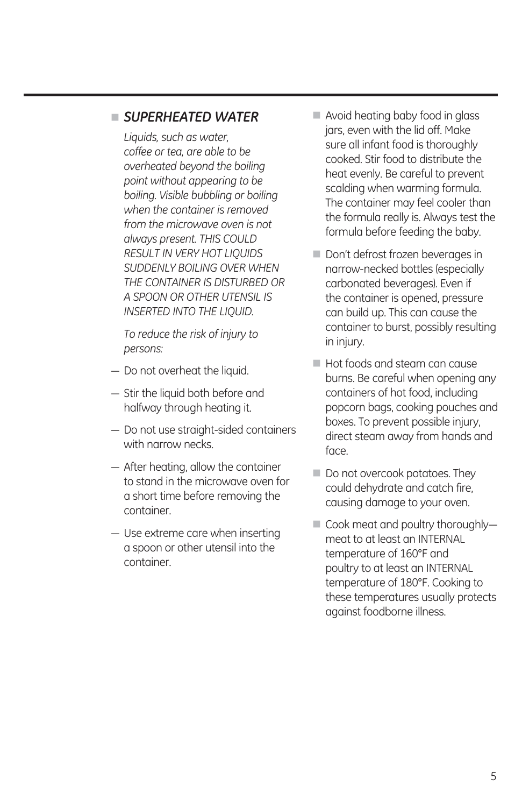#### *SUPERHEATED WATER*

*Liquids, such as water, coffee or tea, are able to be overheated beyond the boiling point without appearing to be boiling. Visible bubbling or boiling when the container is removed from the microwave oven is not always present. THIS COULD RESULT IN VERY HOT LIQUIDS SUDDENLY BOILING OVER WHEN THE CONTAINER IS DISTURBED OR A SPOON OR OTHER UTENSIL IS INSERTED INTO THE LIQUID.*

*To reduce the risk of injury to persons:*

- Do not overheat the liquid.
- $-$  Stir the liquid both before and halfway through heating it.
- Do not use straight-sided containers with narrow necks.
- $-$  After heating, allow the container to stand in the microwave oven for a short time before removing the container.
- $-$  Use extreme care when inserting a spoon or other utensil into the container.
- Avoid heating baby food in glass jars, even with the lid off. Make sure all infant food is thoroughly cooked. Stir food to distribute the heat evenly. Be careful to prevent scalding when warming formula. The container may feel cooler than the formula really is. Always test the formula before feeding the baby.
- $\blacksquare$  Don't defrost frozen beverages in narrow-necked bottles (especially carbonated beverages). Even if the container is opened, pressure can build up. This can cause the container to burst, possibly resulting in injury.
- **Hot foods and steam can cause** burns. Be careful when opening any containers of hot food, including popcorn bags, cooking pouches and boxes. To prevent possible injury, direct steam away from hands and face.
- $\blacksquare$  Do not overcook potatoes. They could dehydrate and catch fire, causing damage to your oven.
- Cook meat and poultry thoroughlymeat to at least an INTERNAL temperature of 160°F and poultry to at least an INTERNAL temperature of 180°F. Cooking to these temperatures usually protects against foodborne illness.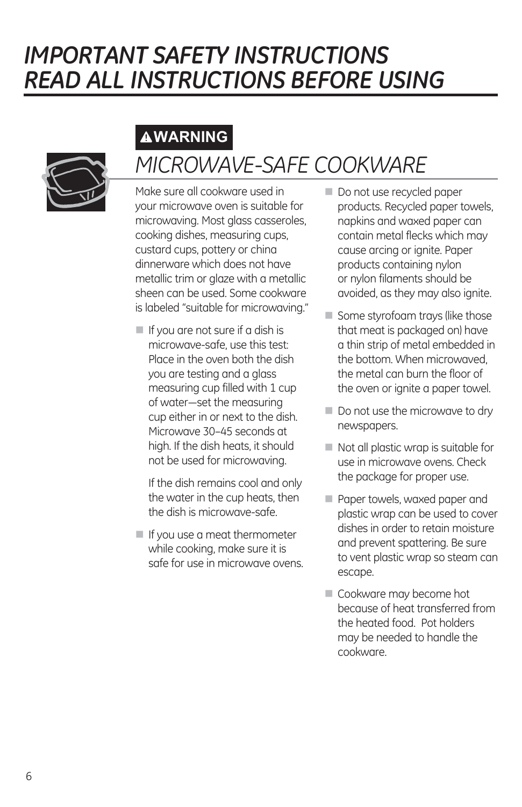## *IMPORTANT SAFETY INSTRUCTIONS READ ALL INSTRUCTIONS BEFORE USING*

### **WARNING**



# *MICROWAVE-SAFE COOKWARE*

Make sure all cookware used in your microwave oven is suitable for microwaving. Most glass casseroles, cooking dishes, measuring cups, custard cups, pottery or china dinnerware which does not have metallic trim or glaze with a metallic sheen can be used. Some cookware is labeled "suitable for microwaving."

 $\blacksquare$  If you are not sure if a dish is microwave-safe, use this test: Place in the oven both the dish you are testing and a glass measuring cup filled with 1 cup of water-set the measuring cup either in or next to the dish. Microwave 30–45 seconds at high. If the dish heats, it should not be used for microwaving.

 If the dish remains cool and only the water in the cup heats, then the dish is microwave-safe.

If you use a meat thermometer while cooking, make sure it is safe for use in microwave ovens.

- $\blacksquare$  Do not use recycled paper products. Recycled paper towels, napkins and waxed paper can contain metal flecks which may cause arcing or ignite. Paper products containing nylon or nylon filaments should be avoided, as they may also ignite.
- Some styrofoam trays (like those that meat is packaged on) have a thin strip of metal embedded in the bottom. When microwaved, the metal can burn the floor of the oven or ignite a paper towel.
- Do not use the microwave to dry newspapers.
- $\blacksquare$  Not all plastic wrap is suitable for use in microwave ovens. Check the package for proper use.
- **Paper towels, waxed paper and** plastic wrap can be used to cover dishes in order to retain moisture and prevent spattering. Be sure to vent plastic wrap so steam can escape.
- Cookware may become hot because of heat transferred from the heated food. Pot holders may be needed to handle the cookware.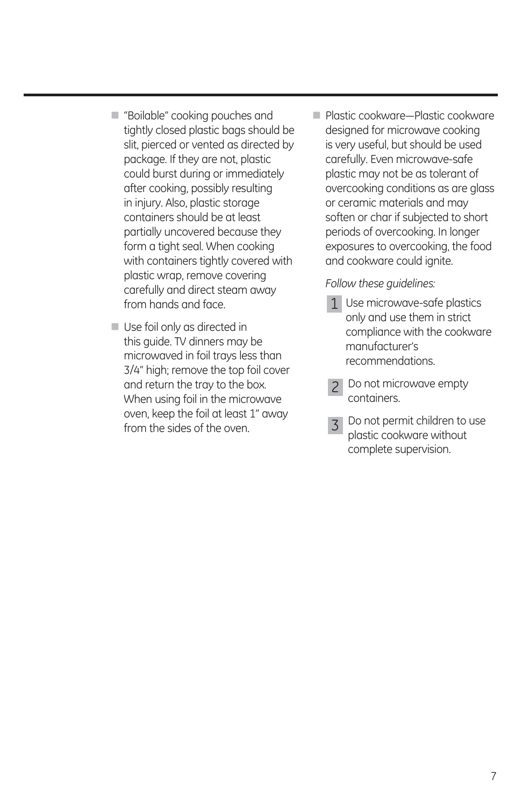- **E** "Boilable" cooking pouches and tightly closed plastic bags should be slit, pierced or vented as directed by package. If they are not, plastic could burst during or immediately after cooking, possibly resulting in injury. Also, plastic storage containers should be at least partially uncovered because they form a tight seal. When cooking with containers tightly covered with plastic wrap, remove covering carefully and direct steam away from hands and face.
- Use foil only as directed in this guide. TV dinners may be microwaved in foil trays less than 3/4" high; remove the top foil cover and return the tray to the box. When using foil in the microwave oven, keep the foil at least 1" away from the sides of the oven.
- **Delastic cookware-Plastic cookware** designed for microwave cooking is very useful, but should be used carefully. Even microwave-safe plastic may not be as tolerant of overcooking conditions as are glass or ceramic materials and may soften or char if subjected to short periods of overcooking. In longer exposures to overcooking, the food and cookware could ignite.

 *Follow these guidelines:* 

- 1 Use microwave-safe plastics only and use them in strict compliance with the cookware manufacturer's recommendations.
- Do not microwave empty containers.  $\mathcal{P}$
- 3 Do not permit children to use plastic cookware without complete supervision.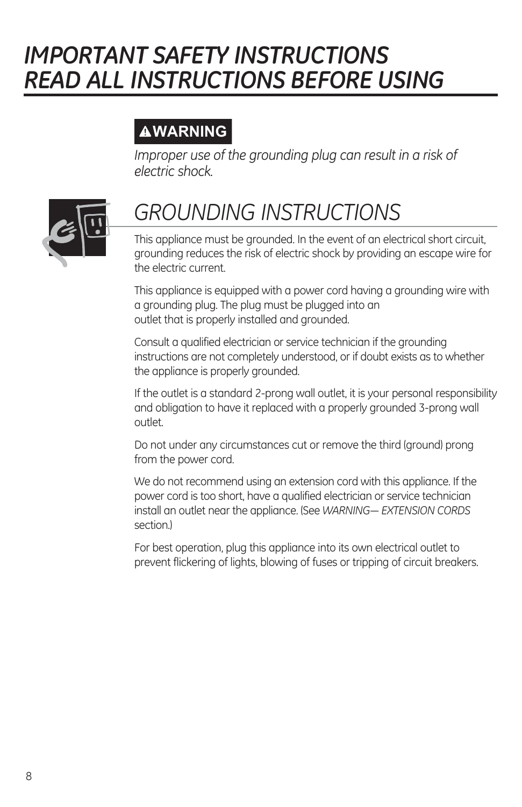## *IMPORTANT SAFETY INSTRUCTIONS READ ALL INSTRUCTIONS BEFORE USING*

### **WARNING**

*Improper use of the grounding plug can result in a risk of electric shock.*



# *GROUNDING INSTRUCTIONS*

This appliance must be grounded. In the event of an electrical short circuit, grounding reduces the risk of electric shock by providing an escape wire for the electric current.

This appliance is equipped with a power cord having a grounding wire with a grounding plug. The plug must be plugged into an outlet that is properly installed and grounded.

Consult a qualified electrician or service technician if the grounding instructions are not completely understood, or if doubt exists as to whether the appliance is properly grounded.

If the outlet is a standard 2-prong wall outlet, it is your personal responsibility and obligation to have it replaced with a properly grounded 3-prong wall outlet.

Do not under any circumstances cut or remove the third (ground) prong from the power cord.

We do not recommend using an extension cord with this appliance. If the power cord is too short, have a qualified electrician or service technician install an outlet near the appliance. (See *WARNING— EXTENSION CORDS* section.)

For best operation, plug this appliance into its own electrical outlet to prevent flickering of lights, blowing of fuses or tripping of circuit breakers.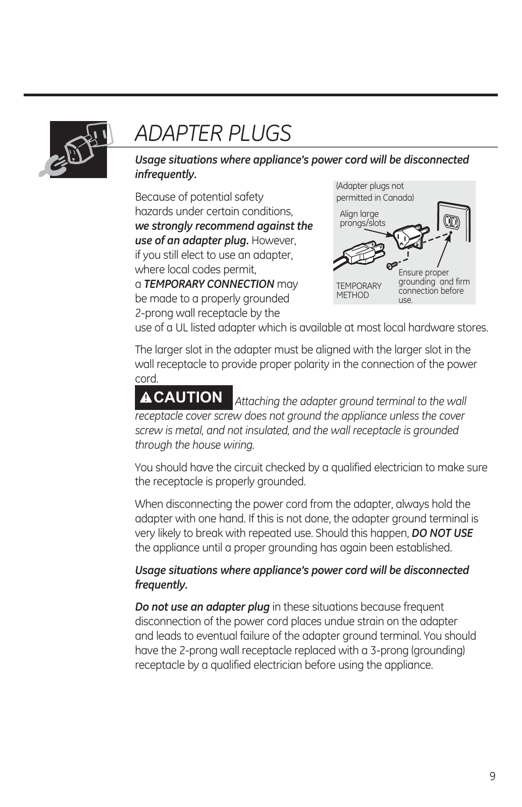

### *ADAPTER PLUGS*

*Usage situations where appliance's power cord will be disconnected infrequently.*

Because of potential safety hazards under certain conditions, *we strongly recommend against the use of an adapter plug.* However, if you still elect to use an adapter, where local codes permit, a *TEMPORARY CONNECTION* may be made to a properly grounded 2-prong wall receptacle by the



use of a UL listed adapter which is available at most local hardware stores.

The larger slot in the adapter must be aligned with the larger slot in the wall receptacle to provide proper polarity in the connection of the power cord.

**CAUTION** *Attaching the adapter ground terminal to the wall receptacle cover screw does not ground the appliance unless the cover screw is metal, and not insulated, and the wall receptacle is grounded through the house wiring.* 

You should have the circuit checked by a qualified electrician to make sure the receptacle is properly grounded.

When disconnecting the power cord from the adapter, always hold the adapter with one hand. If this is not done, the adapter ground terminal is very likely to break with repeated use. Should this happen, *DO NOT USE* the appliance until a proper grounding has again been established.

#### *Usage situations where appliance's power cord will be disconnected frequently.*

*Do not use an adapter plug* in these situations because frequent disconnection of the power cord places undue strain on the adapter and leads to eventual failure of the adapter ground terminal. You should have the 2-prong wall receptacle replaced with a 3-prong (grounding) receptacle by a qualified electrician before using the appliance.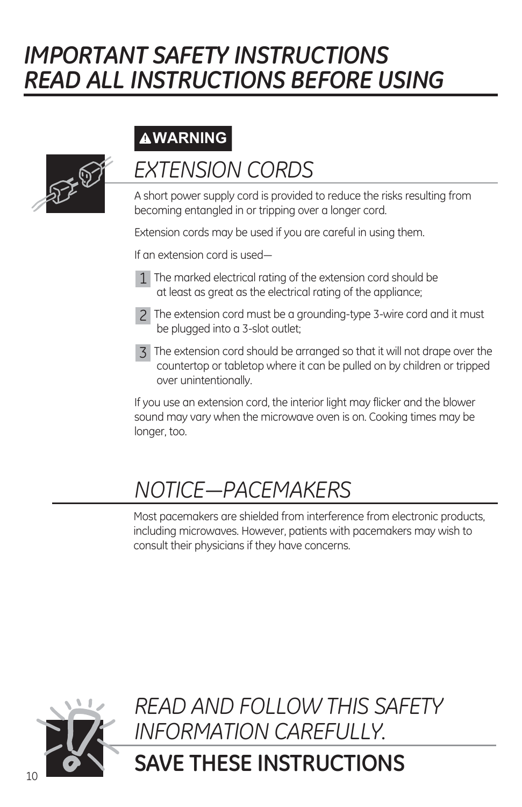# *IMPORTANT SAFETY INSTRUCTIONS READ ALL INSTRUCTIONS BEFORE USING*

### **WARNING**



## **EXTENSION CORDS**

A short power supply cord is provided to reduce the risks resulting from becoming entangled in or tripping over a longer cord.

Extension cords may be used if you are careful in using them.

If an extension cord is used-

- 1 The marked electrical rating of the extension cord should be at least as great as the electrical rating of the appliance;
- The extension cord must be a grounding-type 3-wire cord and it must 2 be plugged into a 3-slot outlet;
- The extension cord should be arranged so that it will not drape over the 3 countertop or tabletop where it can be pulled on by children or tripped over unintentionally.

If you use an extension cord, the interior light may flicker and the blower sound may vary when the microwave oven is on. Cooking times may be longer, too.

## *NOTICE-PACEMAKERS*

Most pacemakers are shielded from interference from electronic products, including microwaves. However, patients with pacemakers may wish to consult their physicians if they have concerns.



*READ AND FOLLOW THIS SAFETY INFORMATION CAREFULLY.*

### **SAVE THESE INSTRUCTIONS**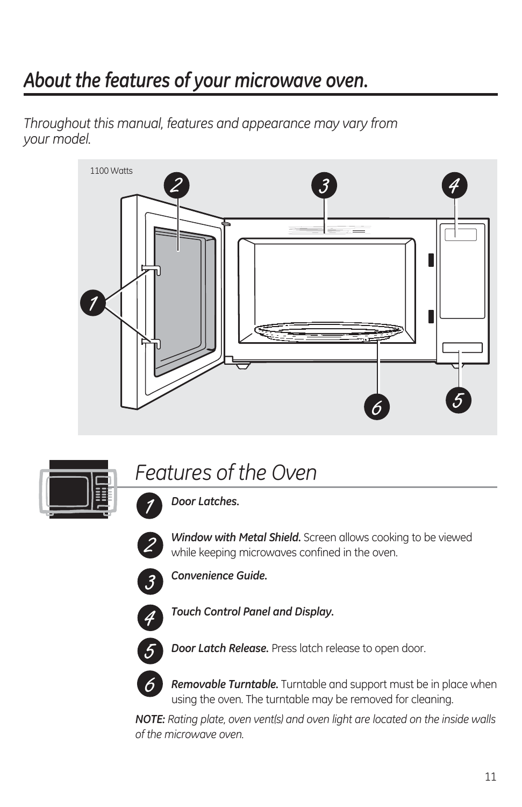### *About the features of your microwave oven.*

*Throughout this manual, features and appearance may vary from your model.*





### *Features of the Oven*

*Door Latches.*



*Window with Metal Shield.* Screen allows cooking to be viewed while keeping microwaves confined in the oven.



*Convenience Guide.*



*Touch Control Panel and Display.*



*Door Latch Release.* Press latch release to open door.



*Removable Turntable.* Turntable and support must be in place when using the oven. The turntable may be removed for cleaning.

*NOTE: Rating plate, oven vent(s) and oven light are located on the inside walls of the microwave oven.*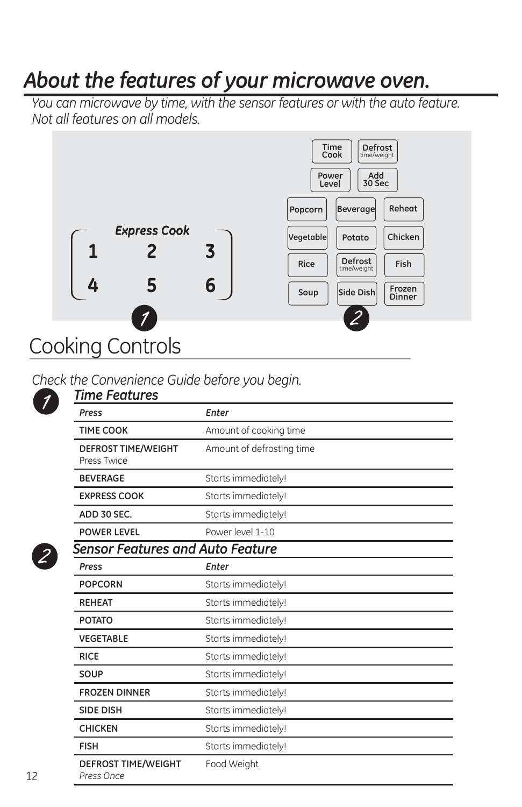### *About the features of your microwave oven.*

*You can microwave by time, with the sensor features or with the auto feature. Not all features on all models.*



#### *Check the Convenience Guide before you begin.*

| Time Features                             |                           |
|-------------------------------------------|---------------------------|
| Press                                     | Enter                     |
| <b>TIME COOK</b>                          | Amount of cooking time    |
| <b>DEFROST TIME/WEIGHT</b><br>Press Twice | Amount of defrosting time |
| <b>BEVERAGE</b>                           | Starts immediately!       |
| <b>EXPRESS COOK</b>                       | Starts immediately!       |
| ADD 30 SEC.                               | Starts immediately!       |
| <b>POWER LEVEL</b>                        | Power level 1-10          |
| <b>Sensor Features and Auto Feature</b>   |                           |
| Press                                     | Enter                     |
| <b>POPCORN</b>                            | Starts immediately!       |
| <b>REHEAT</b>                             | Starts immediately!       |
| <b>POTATO</b>                             | Starts immediately!       |
| <b>VEGETABLE</b>                          | Starts immediately!       |
| <b>RICE</b>                               | Starts immediately!       |
| SOUP                                      | Starts immediately!       |
| <b>FROZEN DINNER</b>                      | Starts immediately!       |
| <b>SIDE DISH</b>                          | Starts immediately!       |
| <b>CHICKEN</b>                            | Starts immediately!       |
| <b>FISH</b>                               | Starts immediately!       |
| <b>DEFROST TIME/WEIGHT</b><br>Press Once  | Food Weight               |



 $\overline{\mathcal{I}}$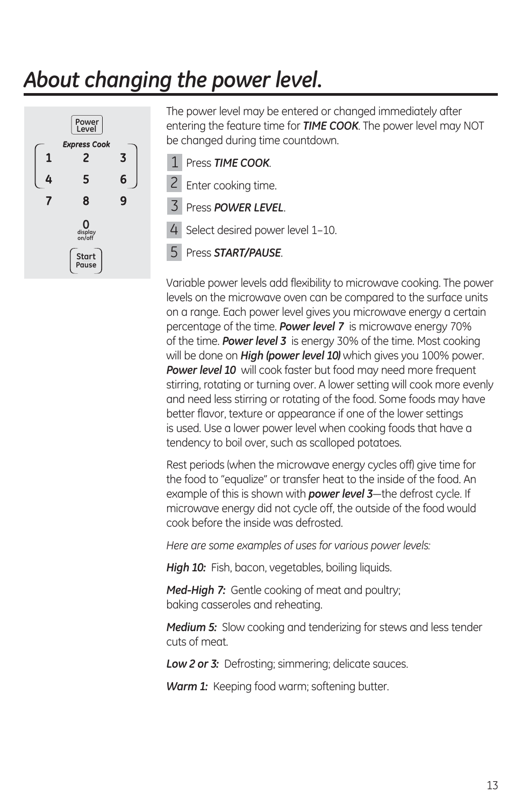### *About changing the power level.*



The power level may be entered or changed immediately after entering the feature time for *TIME COOK*. The power level may NOT be changed during time countdown.

Press *TIME COOK*. 1

2 Enter cooking time.

Press *POWER LEVEL*. 3

4 Select desired power level 1-10.

Press *START/PAUSE*. 5

Variable power levels add flexibility to microwave cooking. The power levels on the microwave oven can be compared to the surface units on a range. Each power level gives you microwave energy a certain percentage of the time. *Power level 7* is microwave energy 70% of the time. *Power level 3* is energy 30% of the time. Most cooking will be done on *High (power level 10)* which gives you 100% power. *Power level 10* will cook faster but food may need more frequent stirring, rotating or turning over. A lower setting will cook more evenly and need less stirring or rotating of the food. Some foods may have better flavor, texture or appearance if one of the lower settings is used. Use a lower power level when cooking foods that have a tendency to boil over, such as scalloped potatoes.

Rest periods (when the microwave energy cycles off) give time for the food to "equalize" or transfer heat to the inside of the food. An example of this is shown with **power level 3**—the defrost cycle. If microwave energy did not cycle off, the outside of the food would cook before the inside was defrosted.

*Here are some examples of uses for various power levels:*

*High 10:* Fish, bacon, vegetables, boiling liquids.

*Med-High 7:* Gentle cooking of meat and poultry; baking casseroles and reheating.

*Medium 5:* Slow cooking and tenderizing for stews and less tender cuts of meat.

**Low 2 or 3:** Defrosting; simmering; delicate sauces.

*Warm 1:* Keeping food warm; softening butter.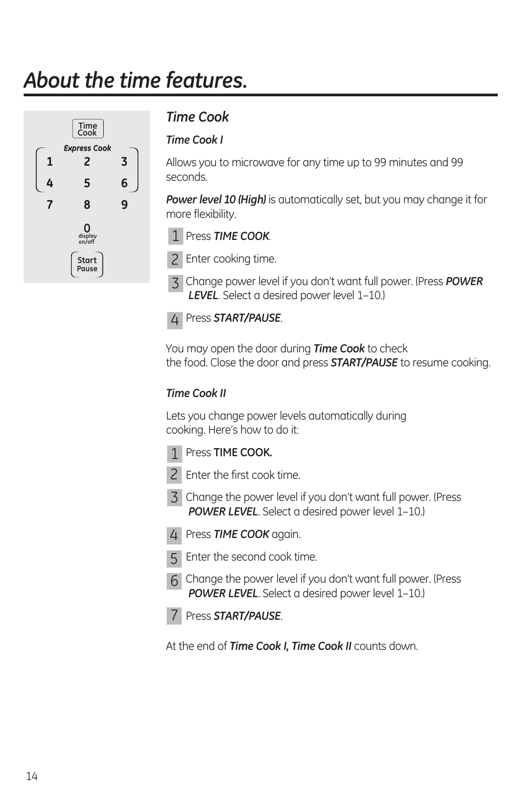### *About the time features.*



#### *Time Cook*

#### *Time Cook I*

Allows you to microwave for any time up to 99 minutes and 99 seconds.

*Power level 10 (High)* is automatically set, but you may change it for more flexibility.



2 Enter cooking time.

3 Change power level if you don't want full power. (Press POWER *LEVEL*. Select a desired power level 1–10.)

Press *START/PAUSE*. 4

You may open the door during *Time Cook* to check the food. Close the door and press *START/PAUSE* to resume cooking.

#### *Time Cook II*

Lets you change power levels automatically during cooking. Here's how to do it:





- 2 Enter the first cook time.
- $3$  Change the power level if you don't want full power. (Press *POWER LEVEL*. Select a desired power level 1–10.)
- Press *TIME COOK* again. 4
- Enter the second cook time. 5
- $6$  Change the power level if you don't want full power. (Press *POWER LEVEL*. Select a desired power level 1–10.)
- Press *START/PAUSE*. 7

At the end of *Time Cook I, Time Cook II* counts down.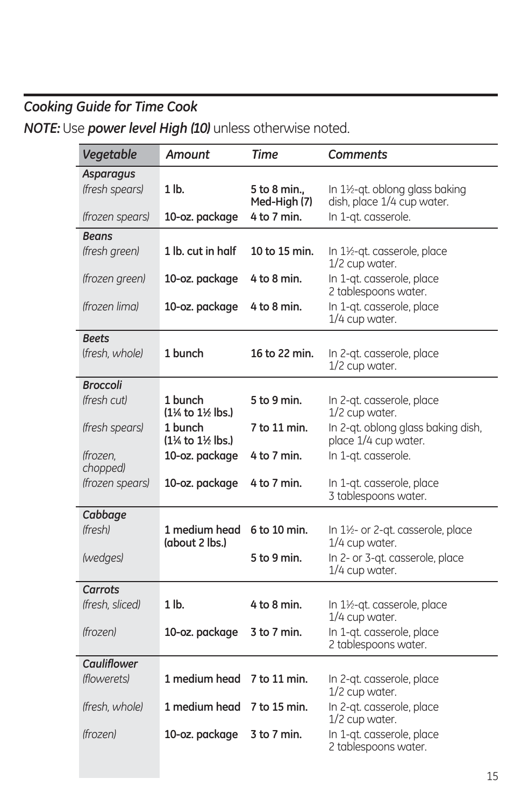### *Cooking Guide for Time Cook NOTE:* Use *power level High (10)* unless otherwise noted.

| Vegetable            | <b>Amount</b>                                          | <b>Time</b>                  | Comments                                                    |
|----------------------|--------------------------------------------------------|------------------------------|-------------------------------------------------------------|
| <b>Asparagus</b>     |                                                        |                              |                                                             |
| (fresh spears)       | $1$ lb.                                                | 5 to 8 min.,<br>Med-High (7) | In 1½-qt. oblong glass baking<br>dish, place 1/4 cup water. |
| (frozen spears)      | 10-oz. package                                         | 4 to 7 min.                  | In 1-qt. casserole.                                         |
| Beans                |                                                        |                              |                                                             |
| (fresh green)        | 1 lb. cut in half                                      | 10 to 15 min.                | In $1\frac{1}{2}$ -qt. casserole, place<br>1/2 cup water.   |
| (frozen green)       | 10-oz. package                                         | $4$ to $8$ min.              | In 1-qt. casserole, place<br>2 tablespoons water.           |
| (frozen lima)        | 10-oz. package                                         | 4 to 8 min.                  | In 1-qt. casserole, place<br>1/4 cup water.                 |
| Beets                |                                                        |                              |                                                             |
| (fresh. whole)       | 1 bunch                                                | 16 to 22 min.                | In 2-qt. casserole, place<br>1/2 cup water.                 |
| <b>Broccoli</b>      |                                                        |                              |                                                             |
| (fresh cut)          | 1 bunch<br>(1¼ to 1½ lbs.)                             | 5 to 9 min.                  | In 2-qt. casserole, place<br>1/2 cup water.                 |
| (fresh spears)       | 1 bunch<br>(1 <sup>1</sup> % to 1 <sup>1</sup> % lbs.) | 7 to 11 min.                 | In 2-qt. oblong glass baking dish,<br>place 1/4 cup water.  |
| (frozen,<br>chopped) | 10-oz. package                                         | 4 to 7 min.                  | In 1-gt. casserole.                                         |
| (frozen spears)      | 10-oz. package                                         | 4 to 7 min.                  | In 1-qt. casserole, place<br>3 tablespoons water.           |
| Cabbage              |                                                        |                              |                                                             |
| (fresh)              | 1 medium head<br>(about 2 lbs.)                        | 6 to 10 min.                 | In 1½- or 2-qt. casserole, place<br>$1/4$ cup water.        |
| (wedges)             |                                                        | 5 to 9 min.                  | In 2- or 3-qt. casserole, place<br>1/4 cup water.           |
| Carrots              |                                                        |                              |                                                             |
| (fresh, sliced)      | $1$ lb.                                                | $4$ to $8$ min.              | In $1\frac{1}{2}$ -qt. casserole, place<br>1/4 cup water.   |
| <i>(frozen)</i>      | 10-oz. package                                         | 3 to 7 min.                  | In 1-gt. casserole, place<br>2 tablespoons water.           |
| <b>Cauliflower</b>   |                                                        |                              |                                                             |
| (flowerets)          | 1 medium head                                          | 7 to 11 min.                 | In 2-qt. casserole, place<br>1/2 cup water.                 |
| (fresh, whole)       | 1 medium head                                          | 7 to 15 min.                 | In 2-qt. casserole, place<br>1/2 cup water.                 |
| (frozen)             | 10-oz. package                                         | 3 to 7 min.                  | In 1-qt. casserole, place<br>2 tablespoons water.           |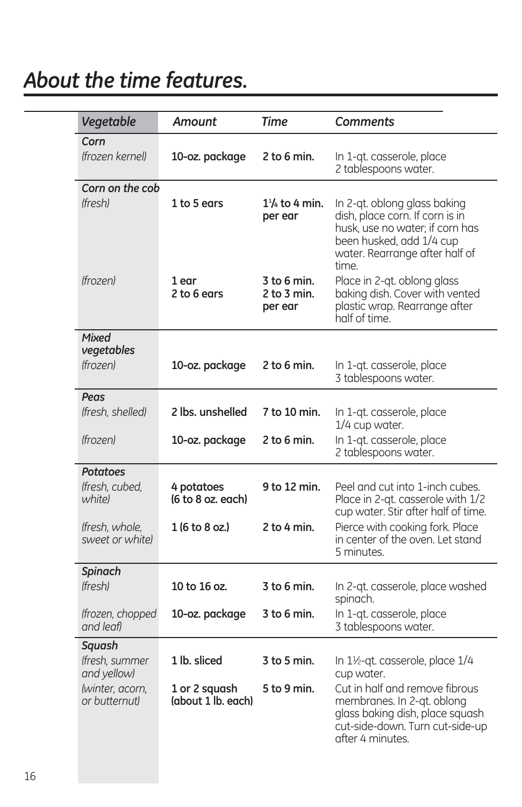### *About the time features.*

| Vegetable                                                                   | <b>Amount</b>                                       | Time                                  | <b>Comments</b>                                                                                                                                                           |
|-----------------------------------------------------------------------------|-----------------------------------------------------|---------------------------------------|---------------------------------------------------------------------------------------------------------------------------------------------------------------------------|
| Corn<br>(frozen kernel)                                                     | 10-oz. package                                      | $2$ to 6 min.                         | In 1-qt. casserole, place<br>2 tablespoons water.                                                                                                                         |
| Corn on the cob<br><i>(fresh)</i>                                           | 1 to 5 ears                                         | $1\frac{1}{4}$ to 4 min.<br>per ear   | In 2-qt. oblong glass baking<br>dish, place corn. If corn is in<br>husk, use no water; if corn has<br>been husked, add 1/4 cup<br>water. Rearrange after half of<br>time. |
| <i>(frozen)</i>                                                             | 1 ear<br>2 to 6 ears                                | 3 to 6 min.<br>2 to 3 min.<br>per ear | Place in 2-qt. oblong glass<br>baking dish. Cover with vented<br>plastic wrap. Rearrange after<br>half of time.                                                           |
| Mixed<br>vegetables<br><i>(frozen)</i>                                      | 10-oz. package                                      | $2$ to 6 min.                         | In 1-qt. casserole, place<br>3 tablespoons water.                                                                                                                         |
| Peas<br>(fresh, shelled)                                                    | 2 lbs. unshelled                                    | 7 to 10 min.                          | In 1-gt. casserole, place<br>1/4 cup water.                                                                                                                               |
| <i>(frozen)</i>                                                             | 10-oz. package                                      | $2$ to 6 min.                         | In 1-qt. casserole, place<br>2 tablespoons water.                                                                                                                         |
| <b>Potatoes</b><br>(fresh. cubed.)<br>white)                                | 4 potatoes<br>(6 to 8 oz. each)                     | 9 to 12 min.                          | Peel and cut into 1-inch cubes.<br>Place in 2-qt. casserole with 1/2<br>cup water. Stir after half of time.                                                               |
| (fresh, whole,<br>sweet or whitel                                           | 1 (6 to 8 oz.)                                      | 2 to 4 min.                           | Pierce with cooking fork. Place<br>in center of the oven. Let stand<br>5 minutes.                                                                                         |
| <b>Spinach</b><br>(fresh)                                                   | 10 to 16 oz.                                        | $3$ to 6 min.                         | In 2-qt. casserole, place washed<br>spinach.                                                                                                                              |
| (frozen, chopped<br>and leaf)                                               | 10-oz. package                                      | 3 to 6 min.                           | In 1-qt. casserole, place<br>3 tablespoons water.                                                                                                                         |
| Sauash<br>(fresh, summer<br>and yellow)<br>(winter, acorn,<br>or butternut) | 1 lb. sliced<br>1 or 2 squash<br>(about 1 lb. each) | $3$ to 5 min.<br>5 to 9 min.          | In 1½-qt. casserole, place 1/4<br>cup water.<br>Cut in half and remove fibrous<br>membranes. In 2-qt. oblong<br>glass baking dish, place squash                           |
|                                                                             |                                                     |                                       | cut-side-down. Turn cut-side-up<br>after 4 minutes.                                                                                                                       |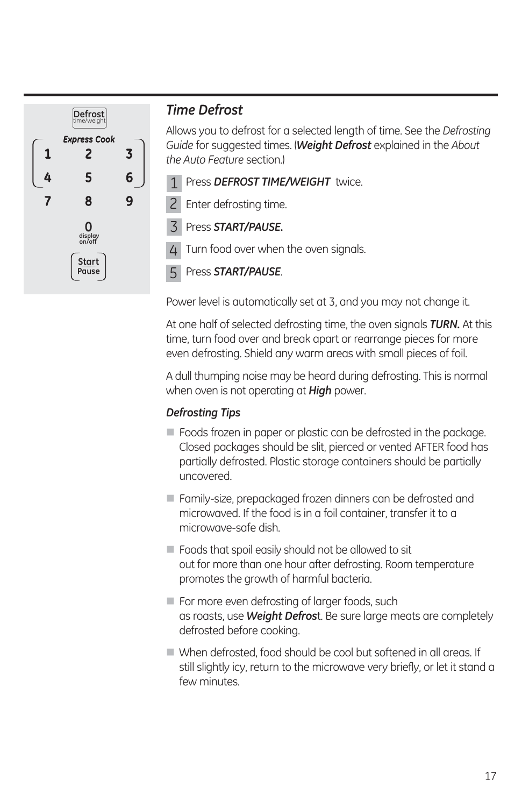

#### *Time Defrost*

Allows you to defrost for a selected length of time. See the *Defrosting Guide* for suggested times. (*Weight Defrost* explained in the *About the Auto Feature* section.)

1 Press DEFROST TIME/WEIGHT twice.

2 Enter defrosting time.

Press *START/PAUSE.* 3

 Turn food over when the oven signals. 4

Press *START/PAUSE*. 5

Power level is automatically set at 3, and you may not change it.

At one half of selected defrosting time, the oven signals *TURN.* At this time, turn food over and break apart or rearrange pieces for more even defrosting. Shield any warm areas with small pieces of foil.

A dull thumping noise may be heard during defrosting. This is normal when oven is not operating at *High* power.

#### *Defrosting Tips*

- Foods frozen in paper or plastic can be defrosted in the package. Closed packages should be slit, pierced or vented AFTER food has partially defrosted. Plastic storage containers should be partially uncovered.
- Family-size, prepackaged frozen dinners can be defrosted and microwaved. If the food is in a foil container, transfer it to a microwave-safe dish.
- Foods that spoil easily should not be allowed to sit out for more than one hour after defrosting. Room temperature promotes the growth of harmful bacteria.
- $\blacksquare$  For more even defrosting of larger foods, such as roasts, use *Weight Defros*t. Be sure large meats are completely defrosted before cooking.
- When defrosted, food should be cool but softened in all areas. If still slightly icy, return to the microwave very briefly, or let it stand a few minutes.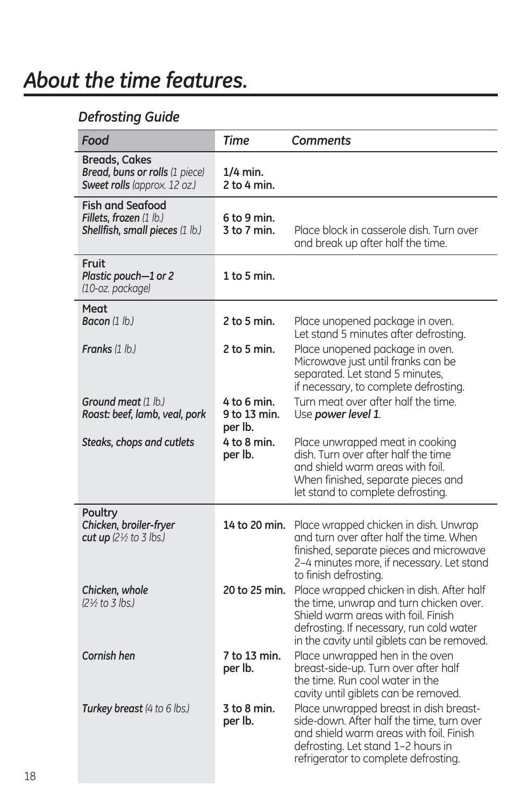### *About the time features.*

#### *Defrosting Guide*

| Food                                                                                   | Time                                   | Comments                                                                                                                                                                                                               |
|----------------------------------------------------------------------------------------|----------------------------------------|------------------------------------------------------------------------------------------------------------------------------------------------------------------------------------------------------------------------|
| <b>Breads, Cakes</b><br>Bread, buns or rolls (1 piece)<br>Sweet rolls (approx. 12 oz.) | $1/4$ min.<br>2 to 4 min.              |                                                                                                                                                                                                                        |
| <b>Fish and Seafood</b><br>Fillets, frozen (1 lb.)<br>Shellfish, small pieces (1 lb.)  | 6 to 9 min.<br>3 to 7 min.             | Place block in casserole dish. Turn over<br>and break up after half the time.                                                                                                                                          |
| Fruit<br>Plastic pouch-1 or 2<br>(10-oz. package)                                      | $1$ to 5 min.                          |                                                                                                                                                                                                                        |
| Meat<br><b>Bacon</b> (1 lb.)                                                           | $2$ to 5 min.                          | Place unopened package in oven.<br>Let stand 5 minutes after defrosting.                                                                                                                                               |
| <b>Franks</b> (1 lb.)                                                                  | $2$ to 5 min.                          | Place unopened package in oven.<br>Microwave just until franks can be<br>separated. Let stand 5 minutes,<br>if necessary, to complete defrosting.                                                                      |
| <b>Ground meat</b> (1 lb.)<br>Roast: beef, lamb, veal, pork                            | 4 to 6 min.<br>9 to 13 min.<br>per lb. | Turn meat over after half the time.<br>Use power level 1.                                                                                                                                                              |
| Steaks, chops and cutlets                                                              | 4 to 8 min.<br>per lb.                 | Place unwrapped meat in cooking<br>dish. Turn over after half the time<br>and shield warm areas with foil.<br>When finished, separate pieces and<br>let stand to complete defrosting.                                  |
| Poultry<br>Chicken, broiler-fryer<br>cut up $(2\frac{1}{2}$ to 3 lbs.)                 | 14 to 20 min.                          | Place wrapped chicken in dish. Unwrap<br>and turn over after half the time. When<br>finished, separate pieces and microwave<br>2-4 minutes more, if necessary. Let stand<br>to finish defrosting.                      |
| Chicken, whole<br>(2½ to 3 lbs.)                                                       | 20 to 25 min.                          | Place wrapped chicken in dish. After half<br>the time, unwrap and turn chicken over.<br>Shield warm areas with foil. Finish<br>defrosting. If necessary, run cold water<br>in the cavity until giblets can be removed. |
| Cornish hen                                                                            | 7 to 13 min.<br>per lb.                | Place unwrapped hen in the oven<br>breast-side-up. Turn over after half<br>the time. Run cool water in the<br>cavity until giblets can be removed.                                                                     |
| Turkey breast (4 to 6 lbs.)                                                            | 3 to 8 min.<br>per lb.                 | Place unwrapped breast in dish breast-<br>side-down. After half the time, turn over<br>and shield warm areas with foil. Finish<br>defrosting. Let stand 1-2 hours in<br>refrigerator to complete defrosting.           |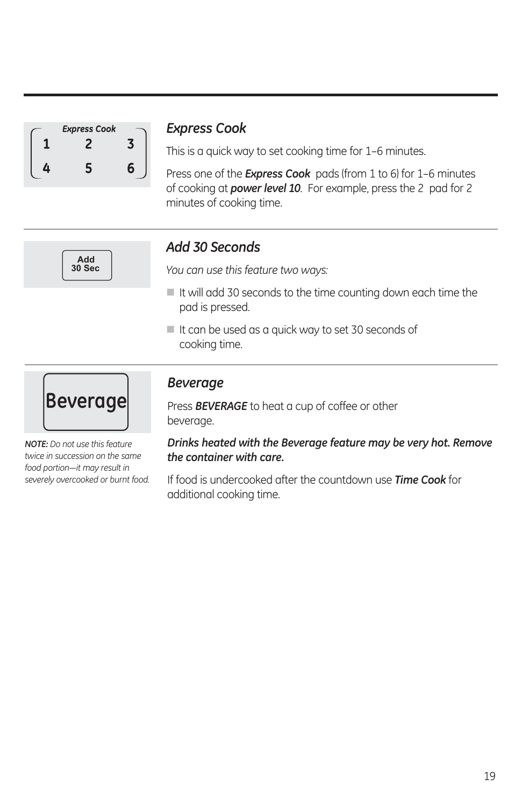| <b>Express Cook</b> |   |
|---------------------|---|
|                     |   |
| 5                   | F |

#### *Express Cook*

This is a quick way to set cooking time for 1-6 minutes.

Press one of the *Express Cook* pads (from 1 to 6) for 1–6 minutes of cooking at *power level 10*. For example, press the 2 pad for 2 minutes of cooking time.



#### *Add 30 Seconds*

*You can use this feature two ways:*

- $\blacksquare$  It will add 30 seconds to the time counting down each time the pad is pressed.
- It can be used as a quick way to set 30 seconds of cooking time.



*NOTE: Do not use this feature twice in succession on the same*  food portion-it may result in *severely overcooked or burnt food.*

#### *Beverage*

Press *BEVERAGE* to heat a cup of coffee or other beverage.

*Drinks heated with the Beverage feature may be very hot. Remove the container with care.*

If food is undercooked after the countdown use *Time Cook* for additional cooking time.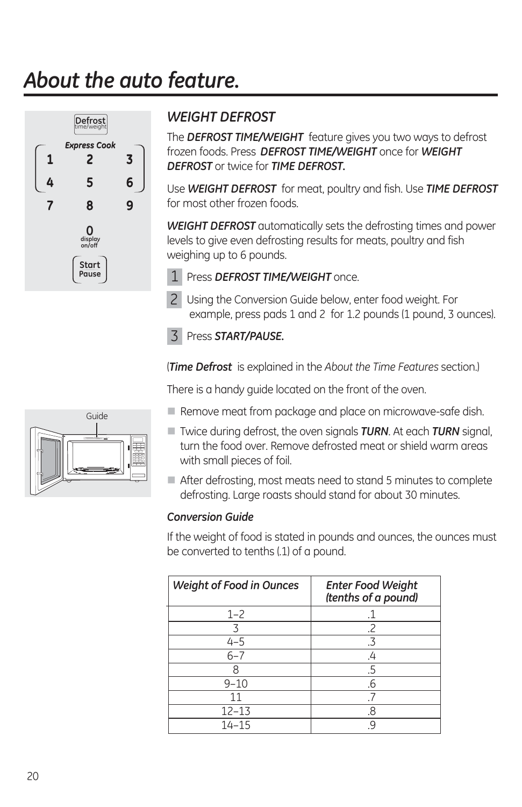# *About the auto feature.*



### *WEIGHT DEFROST*

The *DEFROST TIME/WEIGHT* feature gives you two ways to defrost frozen foods. Press *DEFROST TIME/WEIGHT* once for *WEIGHT DEFROST* or twice for *TIME DEFROST.*

Use *WEIGHT DEFROST* for meat, poultry and fish. Use *TIME DEFROST* for most other frozen foods.

*WEIGHT DEFROST* automatically sets the defrosting times and power levels to give even defrosting results for meats, poultry and fish weighing up to 6 pounds.

1 Press DEFROST TIME/WEIGHT once.

2 Using the Conversion Guide below, enter food weight. For example, press pads 1 and 2 for 1.2 pounds (1 pound, 3 ounces).

#### Press *START/PAUSE.*  3

(*Time Defrost* is explained in the *About the Time Features* section.)

There is a handy guide located on the front of the oven.

- Remove meat from package and place on microwave-safe dish.
- Twice during defrost, the oven signals *TURN*. At each *TURN* signal, turn the food over. Remove defrosted meat or shield warm areas with small pieces of foil.
- After defrosting, most meats need to stand 5 minutes to complete defrosting. Large roasts should stand for about 30 minutes.

#### *Conversion Guide*

If the weight of food is stated in pounds and ounces, the ounces must be converted to tenths (.1) of a pound.

| <b>Weight of Food in Ounces</b> | <b>Enter Food Weight</b><br>(tenths of a pound) |
|---------------------------------|-------------------------------------------------|
| $1 - 2$                         |                                                 |
|                                 | .2                                              |
| $4 - 5$                         | .3                                              |
| $6 - 7$                         |                                                 |
|                                 | .5                                              |
| $9 - 10$                        | .6                                              |
| 11                              |                                                 |
| $12 - 13$                       | 8                                               |
| $14 - 15$                       |                                                 |

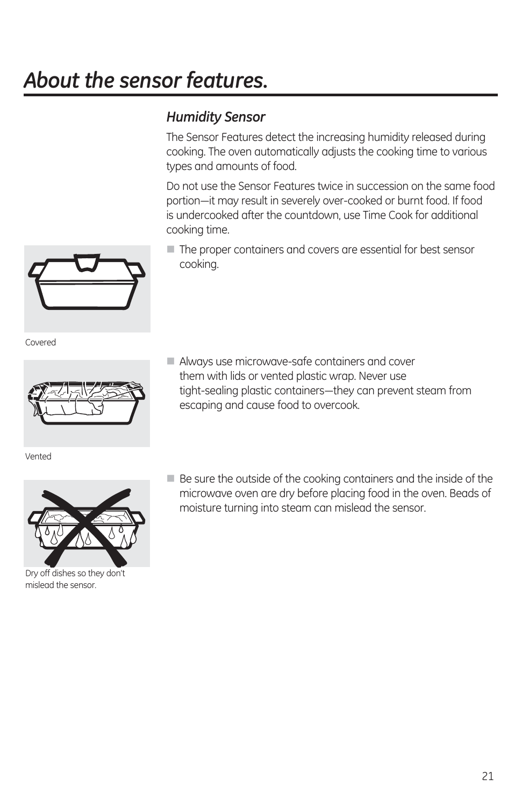# *About the sensor features.*

### *Humidity Sensor*

The Sensor Features detect the increasing humidity released during cooking. The oven automatically adjusts the cooking time to various types and amounts of food.

Do not use the Sensor Features twice in succession on the same food portion-it may result in severely over-cooked or burnt food. If food is undercooked after the countdown, use Time Cook for additional cooking time.

The proper containers and covers are essential for best sensor cooking.

Covered



Vented



Dry off dishes so they don't mislead the sensor.

- Always use microwave-safe containers and cover them with lids or vented plastic wrap. Never use tight-sealing plastic containers—they can prevent steam from escaping and cause food to overcook.
- Be sure the outside of the cooking containers and the inside of the microwave oven are dry before placing food in the oven. Beads of moisture turning into steam can mislead the sensor.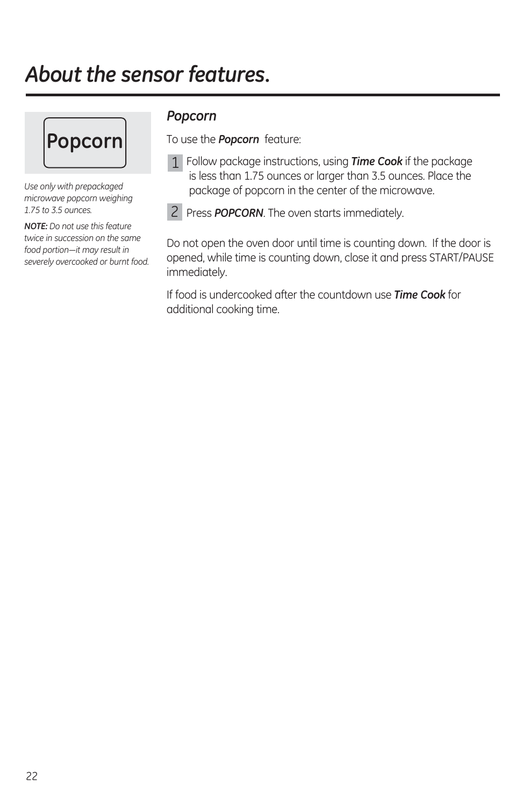### *About the sensor features.*



*Use only with prepackaged microwave popcorn weighing 1.75 to 3.5 ounces.*

*NOTE: Do not use this feature twice in succession on the same*  food portion-it may result in *severely overcooked or burnt food.*

#### *Popcorn*

To use the *Popcorn* feature:

 Follow package instructions, using *Time Cook* if the package 1 is less than 1.75 ounces or larger than 3.5 ounces. Place the package of popcorn in the center of the microwave.

Press *POPCORN*. The oven starts immediately. 2

Do not open the oven door until time is counting down. If the door is opened, while time is counting down, close it and press START/PAUSE immediately.

If food is undercooked after the countdown use *Time Cook* for additional cooking time.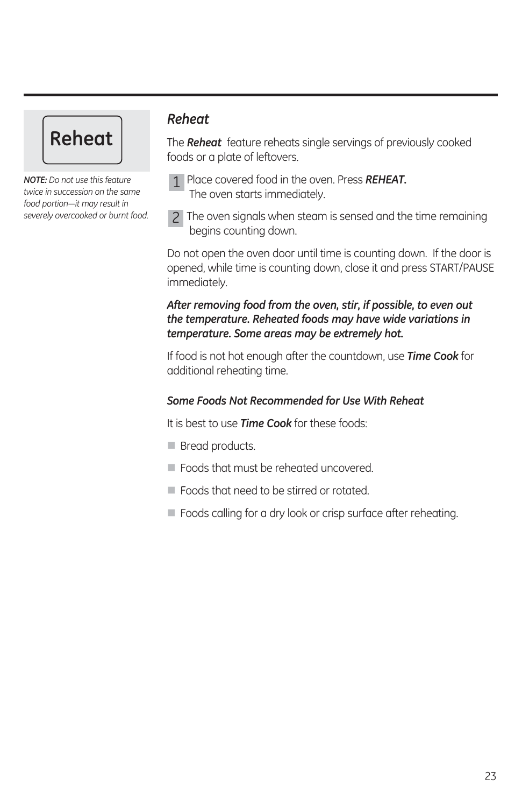# **Reheat**

*NOTE: Do not use this feature twice in succession on the same*  food portion-it may result in *severely overcooked or burnt food.*

#### *Reheat*

The *Reheat* feature reheats single servings of previously cooked foods or a plate of leftovers.



 The oven signals when steam is sensed and the time remaining 2 begins counting down.

Do not open the oven door until time is counting down. If the door is opened, while time is counting down, close it and press START/PAUSE immediately.

#### *After removing food from the oven, stir, if possible, to even out the temperature. Reheated foods may have wide variations in temperature. Some areas may be extremely hot.*

If food is not hot enough after the countdown, use *Time Cook* for additional reheating time.

#### *Some Foods Not Recommended for Use With Reheat*

It is best to use *Time Cook* for these foods:

- **Bread products.**
- Foods that must be reheated uncovered.
- Foods that need to be stirred or rotated.
- Foods calling for a dry look or crisp surface after reheating.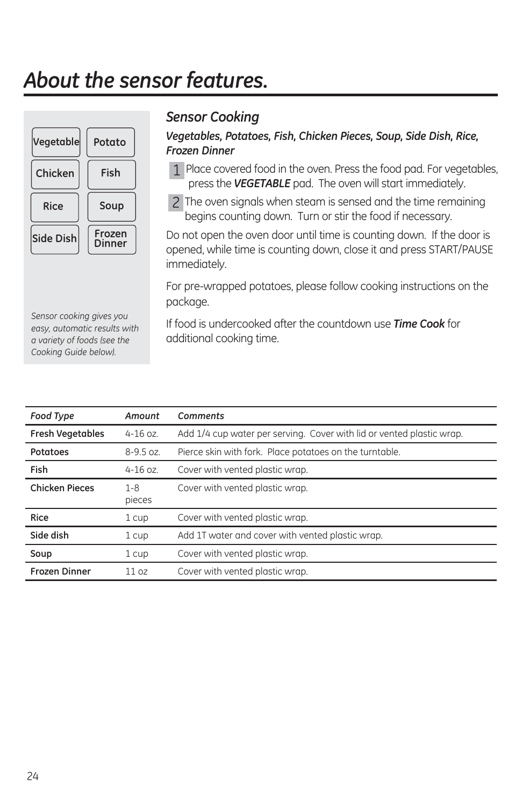### *About the sensor features.*



#### *Sensor Cooking*

#### *Vegetables, Potatoes, Fish, Chicken Pieces, Soup, Side Dish, Rice, Frozen Dinner*

- 1 Place covered food in the oven. Press the food pad. For vegetables, press the *VEGETABLE* pad. The oven will start immediately.
- The oven signals when steam is sensed and the time remaining 2 begins counting down. Turn or stir the food if necessary.

Do not open the oven door until time is counting down. If the door is opened, while time is counting down, close it and press START/PAUSE immediately.

For pre-wrapped potatoes, please follow cooking instructions on the package.

If food is undercooked after the countdown use *Time Cook* for additional cooking time.

| Food Type               | Amount            | Comments                                                              |
|-------------------------|-------------------|-----------------------------------------------------------------------|
| <b>Fresh Vegetables</b> | $4 - 16$ oz.      | Add 1/4 cup water per serving. Cover with lid or vented plastic wrap. |
| Potatoes                | $8 - 9.5$ oz.     | Pierce skin with fork. Place potatoes on the turntable.               |
| Fish                    | $4 - 16$ oz.      | Cover with vented plastic wrap.                                       |
| <b>Chicken Pieces</b>   | $1 - 8$<br>pieces | Cover with vented plastic wrap.                                       |
| <b>Rice</b>             | 1 cup             | Cover with vented plastic wrap.                                       |
| Side dish               | 1 cup             | Add 1T water and cover with vented plastic wrap.                      |
| Soup                    | 1 cup             | Cover with vented plastic wrap.                                       |
| <b>Frozen Dinner</b>    | 11 oz             | Cover with vented plastic wrap.                                       |

*Sensor cooking gives you easy, automatic results with a variety of foods (see the Cooking Guide below).*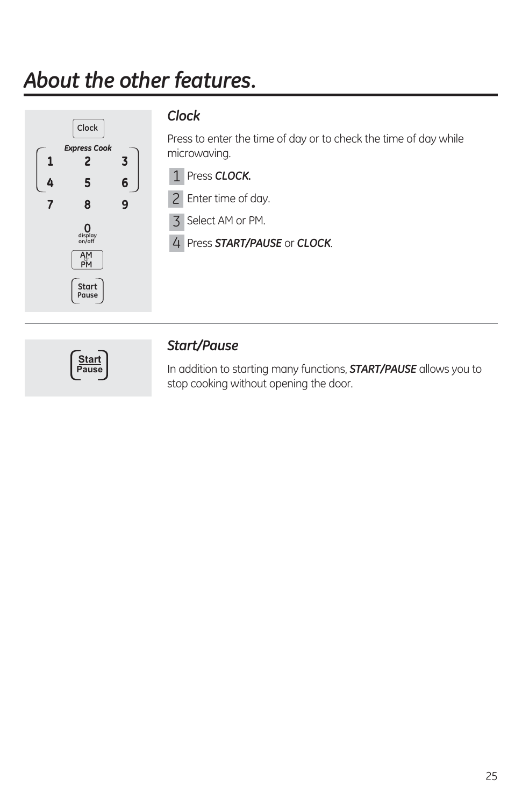## *About the other features.*



#### *Clock*

Press to enter the time of day or to check the time of day while microwaving.

- Press *CLOCK.* 1
- 2 Enter time of day.
- 3 Select AM or PM.
- Press *START/PAUSE* or *CLOCK*. 4



#### *Start/Pause*

In addition to starting many functions, *START/PAUSE* allows you to stop cooking without opening the door.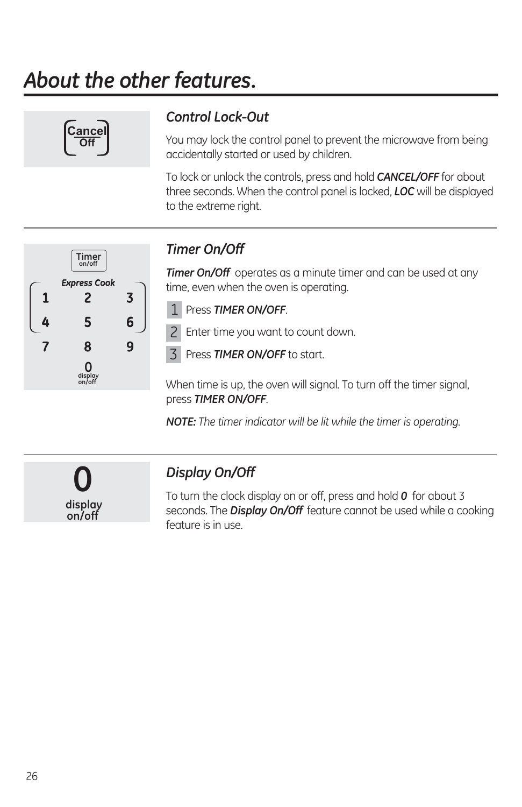# *About the other features.*



### *Control Lock-Out*

You may lock the control panel to prevent the microwave from being accidentally started or used by children.

To lock or unlock the controls, press and hold *CANCEL/OFF* for about three seconds. When the control panel is locked, *LOC* will be displayed to the extreme right.



### *Timer On/Off*

*Timer On/Off* operates as a minute timer and can be used at any time, even when the oven is operating.

Press *TIMER ON/OFF*. 1

2 Enter time you want to count down.

Press *TIMER ON/OFF* to start. 3

When time is up, the oven will signal. To turn off the timer signal, press *TIMER ON/OFF*.

*NOTE: The timer indicator will be lit while the timer is operating.*

**0 display on/off**

#### *Display On/Off*

To turn the clock display on or off, press and hold *0* for about 3 seconds. The *Display On/Off* feature cannot be used while a cooking feature is in use.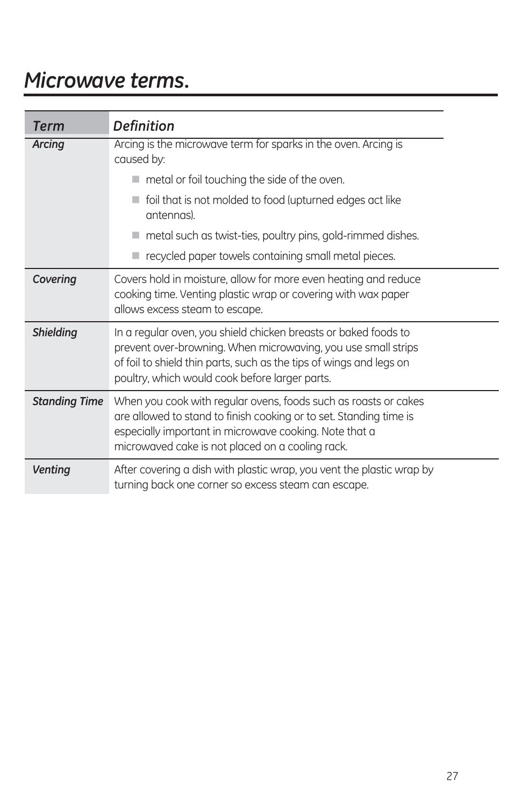### *Microwave terms.*

| <b>Term</b>          | <b>Definition</b>                                                                                                                                                                                                                                         |
|----------------------|-----------------------------------------------------------------------------------------------------------------------------------------------------------------------------------------------------------------------------------------------------------|
| Arcing               | Arcing is the microwave term for sparks in the oven. Arcing is<br>caused by:                                                                                                                                                                              |
|                      | metal or foil touching the side of the oven.                                                                                                                                                                                                              |
|                      | foil that is not molded to food (upturned edges act like<br>antennas).                                                                                                                                                                                    |
|                      | $\blacksquare$ metal such as twist-ties, poultry pins, gold-rimmed dishes.                                                                                                                                                                                |
|                      | recycled paper towels containing small metal pieces.                                                                                                                                                                                                      |
| Covering             | Covers hold in moisture, allow for more even heating and reduce<br>cooking time. Venting plastic wrap or covering with wax paper<br>allows excess steam to escape.                                                                                        |
| <b>Shielding</b>     | In a regular oven, you shield chicken breasts or baked foods to<br>prevent over-browning. When microwaving, you use small strips<br>of foil to shield thin parts, such as the tips of wings and legs on<br>poultry, which would cook before larger parts. |
| <b>Standing Time</b> | When you cook with regular ovens, foods such as roasts or cakes<br>are allowed to stand to finish cooking or to set. Standing time is<br>especially important in microwave cooking. Note that a<br>microwaved cake is not placed on a cooling rack.       |
| <b>Venting</b>       | After covering a dish with plastic wrap, you vent the plastic wrap by<br>turning back one corner so excess steam can escape.                                                                                                                              |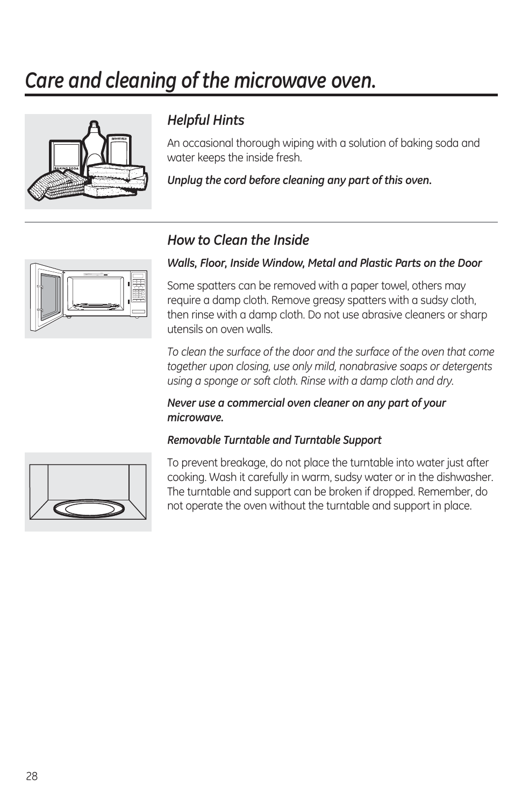### *Care and cleaning of the microwave oven.*



#### *Helpful Hints*

An occasional thorough wiping with a solution of baking soda and water keeps the inside fresh.

*Unplug the cord before cleaning any part of this oven.*

#### *How to Clean the Inside*

### *Walls, Floor, Inside Window, Metal and Plastic Parts on the Door*

Some spatters can be removed with a paper towel, others may require a damp cloth. Remove greasy spatters with a sudsy cloth, then rinse with a damp cloth. Do not use abrasive cleaners or sharp utensils on oven walls.

*To clean the surface of the door and the surface of the oven that come together upon closing, use only mild, nonabrasive soaps or detergents using a sponge or soft cloth. Rinse with a damp cloth and dry.*

*Never use a commercial oven cleaner on any part of your microwave.*

#### *Removable Turntable and Turntable Support*



To prevent breakage, do not place the turntable into water just after cooking. Wash it carefully in warm, sudsy water or in the dishwasher. The turntable and support can be broken if dropped. Remember, do not operate the oven without the turntable and support in place.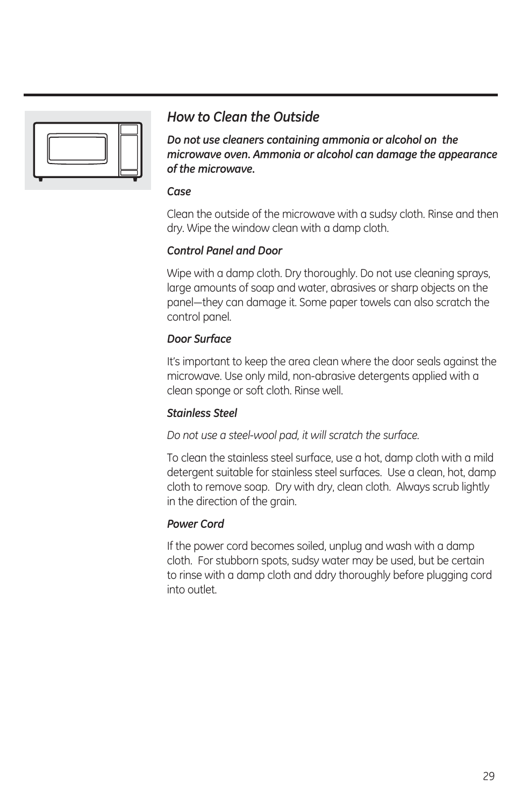

#### *How to Clean the Outside*

*Do not use cleaners containing ammonia or alcohol on the microwave oven. Ammonia or alcohol can damage the appearance of the microwave.*

#### *Case*

Clean the outside of the microwave with a sudsy cloth. Rinse and then dry. Wipe the window clean with a damp cloth.

#### *Control Panel and Door*

Wipe with a damp cloth. Dry thoroughly. Do not use cleaning sprays, large amounts of soap and water, abrasives or sharp objects on the panel-they can damage it. Some paper towels can also scratch the control panel.

#### *Door Surface*

It's important to keep the area clean where the door seals against the microwave. Use only mild, non-abrasive detergents applied with a clean sponge or soft cloth. Rinse well.

#### *Stainless Steel*

*Do not use a steel-wool pad, it will scratch the surface.*

To clean the stainless steel surface, use a hot, damp cloth with a mild detergent suitable for stainless steel surfaces. Use a clean, hot, damp cloth to remove soap. Dry with dry, clean cloth. Always scrub lightly in the direction of the grain.

#### *Power Cord*

If the power cord becomes soiled, unplug and wash with a damp cloth. For stubborn spots, sudsy water may be used, but be certain to rinse with a damp cloth and ddry thoroughly before plugging cord into outlet.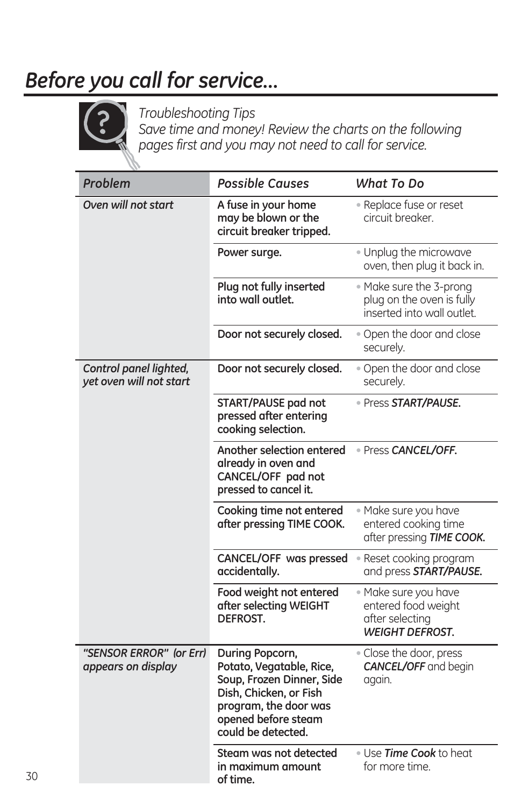### *Before you call for service…*



*Troubleshooting Tips Save time and money! Review the charts on the following pages first and you may not need to call for service.*

| Problem                                           | <b>Possible Causes</b>                                                                                                                                                   | What To Do                                                                               |
|---------------------------------------------------|--------------------------------------------------------------------------------------------------------------------------------------------------------------------------|------------------------------------------------------------------------------------------|
| Oven will not start                               | A fuse in your home<br>may be blown or the<br>circuit breaker tripped.                                                                                                   | · Replace fuse or reset<br>circuit breaker.                                              |
|                                                   | Power surge.                                                                                                                                                             | · Unplug the microwave<br>oven, then plug it back in.                                    |
|                                                   | Plug not fully inserted<br>into wall outlet.                                                                                                                             | • Make sure the 3-prong<br>plug on the oven is fully<br>inserted into wall outlet.       |
|                                                   | Door not securely closed.                                                                                                                                                | . Open the door and close<br>securely.                                                   |
| Control panel lighted,<br>yet oven will not start | Door not securely closed.                                                                                                                                                | . Open the door and close<br>securely.                                                   |
|                                                   | START/PAUSE pad not<br>pressed after entering<br>cooking selection.                                                                                                      | · Press START/PAUSE.                                                                     |
|                                                   | Another selection entered<br>already in oven and<br>CANCEL/OFF pad not<br>pressed to cancel it.                                                                          | · Press CANCEL/OFF.                                                                      |
|                                                   | Cooking time not entered<br>after pressing TIME COOK.                                                                                                                    | · Make sure you have<br>entered cooking time<br>after pressing TIME COOK.                |
|                                                   | CANCEL/OFF was pressed<br>accidentally.                                                                                                                                  | • Reset cooking program<br>and press START/PAUSE.                                        |
|                                                   | Food weight not entered<br>after selecting WEIGHT<br>DEFROST.                                                                                                            | · Make sure you have<br>entered food weight<br>after selecting<br><b>WEIGHT DEFROST.</b> |
| "SENSOR ERROR" (or Err)<br>appears on display     | During Popcorn,<br>Potato, Vegatable, Rice,<br>Soup, Frozen Dinner, Side<br>Dish, Chicken, or Fish<br>program, the door was<br>opened before steam<br>could be detected. | • Close the door, press<br><b>CANCEL/OFF</b> and begin<br>again.                         |
|                                                   | Steam was not detected<br>in maximum amount<br>of time.                                                                                                                  | . Use <b>Time Cook</b> to heat<br>for more time.                                         |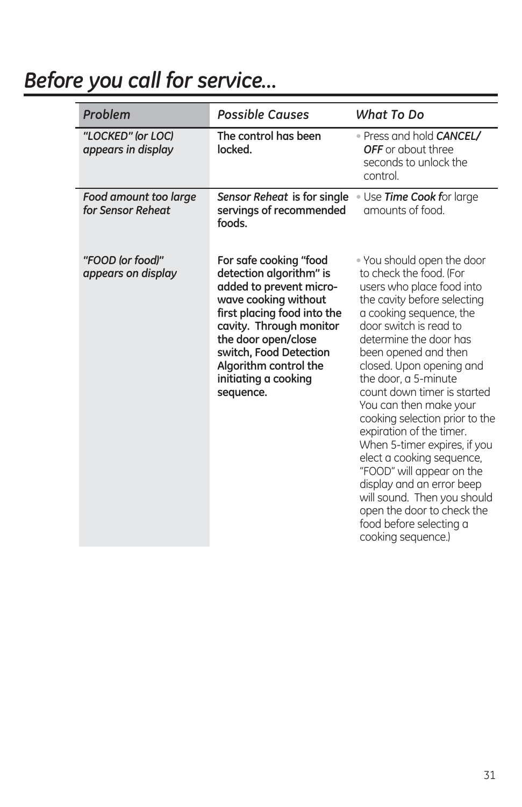# *Before you call for service…*

| Problem                                    | <b>Possible Causes</b>                                                                                                                                                                                                                                                        | What To Do                                                                                                                                                                                                                                                                                                                                                                                                                                                                                                                                                                                                                               |
|--------------------------------------------|-------------------------------------------------------------------------------------------------------------------------------------------------------------------------------------------------------------------------------------------------------------------------------|------------------------------------------------------------------------------------------------------------------------------------------------------------------------------------------------------------------------------------------------------------------------------------------------------------------------------------------------------------------------------------------------------------------------------------------------------------------------------------------------------------------------------------------------------------------------------------------------------------------------------------------|
| "LOCKED" (or LOC)<br>appears in display    | The control has been<br>locked.                                                                                                                                                                                                                                               | • Press and hold <b>CANCEL/</b><br>OFF or about three<br>seconds to unlock the<br>control.                                                                                                                                                                                                                                                                                                                                                                                                                                                                                                                                               |
| Food amount too large<br>for Sensor Reheat | Sensor Reheat is for single<br>servings of recommended<br>foods.                                                                                                                                                                                                              | . Use Time Cook for large<br>amounts of food.                                                                                                                                                                                                                                                                                                                                                                                                                                                                                                                                                                                            |
| "FOOD (or food)"<br>appears on display     | For safe cooking "food<br>detection algorithm" is<br>added to prevent micro-<br>wave cooking without<br>first placing food into the<br>cavity. Through monitor<br>the door open/close<br>switch, Food Detection<br>Algorithm control the<br>initiating a cooking<br>sequence. | • You should open the door<br>to check the food. (For<br>users who place food into<br>the cavity before selecting<br>a cooking sequence, the<br>door switch is read to<br>determine the door has<br>been opened and then<br>closed. Upon opening and<br>the door, a 5-minute<br>count down timer is started<br>You can then make your<br>cooking selection prior to the<br>expiration of the timer.<br>When 5-timer expires, if you<br>elect a cooking sequence,<br>"FOOD" will appear on the<br>display and an error beep<br>will sound. Then you should<br>open the door to check the<br>food before selecting a<br>cooking sequence.) |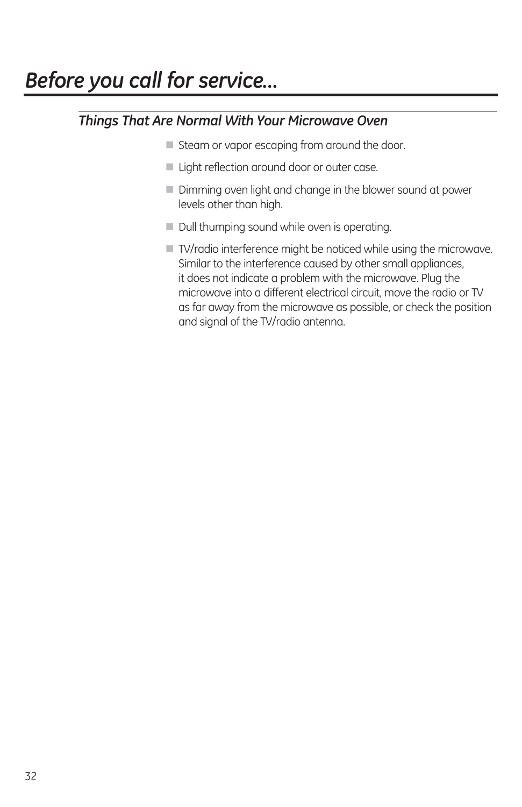### *Things That Are Normal With Your Microwave Oven*

- Steam or vapor escaping from around the door.
- Light reflection around door or outer case.
- $\blacksquare$  Dimming oven light and change in the blower sound at power levels other than high.
- U Dull thumping sound while oven is operating.
- TV/radio interference might be noticed while using the microwave. Similar to the interference caused by other small appliances, it does not indicate a problem with the microwave. Plug the microwave into a different electrical circuit, move the radio or TV as far away from the microwave as possible, or check the position and signal of the TV/radio antenna.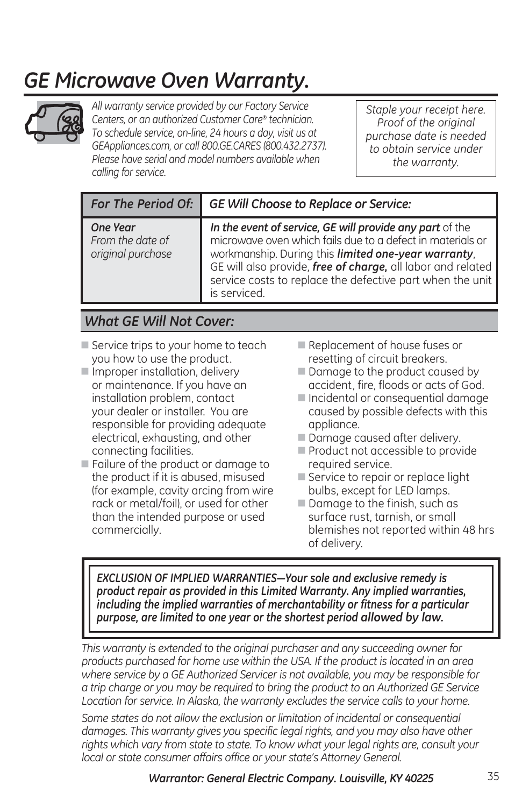### *GE Microwave Oven Warranty.*



*All warranty service provided by our Factory Service Centers, or an authorized Customer Care® technician. To schedule service, on-line, 24 hours a day, visit us at GEAppliances.com, or call 800.GE.CARES (800.432.2737). Please have serial and model numbers available when calling for service.*

*Staple your receipt here. Proof of the original purchase date is needed to obtain service under the warranty.*

| For The Period Of:                                | <b>GE Will Choose to Replace or Service:</b>                                                                                                                                                                                                                                                                              |  |
|---------------------------------------------------|---------------------------------------------------------------------------------------------------------------------------------------------------------------------------------------------------------------------------------------------------------------------------------------------------------------------------|--|
| One Year<br>From the date of<br>original purchase | In the event of service, GE will provide any part of the<br>microwave oven which fails due to a defect in materials or<br>workmanship. During this limited one-year warranty,<br>GE will also provide, free of charge, all labor and related<br>service costs to replace the defective part when the unit<br>is serviced. |  |

#### *What GE Will Not Cover:*

- Service trips to your home to teach you how to use the product.
- Improper installation, delivery or maintenance. If you have an installation problem, contact your dealer or installer. You are responsible for providing adequate electrical, exhausting, and other connecting facilities.
- Failure of the product or damage to the product if it is abused, misused (for example, cavity arcing from wire rack or metal/foil), or used for other than the intended purpose or used commercially.
- Replacement of house fuses or resetting of circuit breakers.
- $\blacksquare$  Damage to the product caused by accident, fire, floods or acts of God.
- **Incidental or consequential damage** caused by possible defects with this appliance.
- **D** Damage caused after delivery.
- Product not accessible to provide required service.
- Service to repair or replace light bulbs, except for LED lamps.
- $\blacksquare$  Damage to the finish, such as surface rust, tarnish, or small blemishes not reported within 48 hrs of delivery.

EXCLUSION OF IMPLIED WARRANTIES-Your sole and exclusive remedy is *product repair as provided in this Limited Warranty. Any implied warranties, including the implied warranties of merchantability or fitness for a particular purpose, are limited to one year or the shortest period allowed by law.*

*This warranty is extended to the original purchaser and any succeeding owner for products purchased for home use within the USA. If the product is located in an area where service by a GE Authorized Servicer is not available, you may be responsible for a trip charge or you may be required to bring the product to an Authorized GE Service Location for service. In Alaska, the warranty excludes the service calls to your home.*

*Some states do not allow the exclusion or limitation of incidental or consequential damages. This warranty gives you specific legal rights, and you may also have other rights which vary from state to state. To know what your legal rights are, consult your local or state consumer affairs office or your state's Attorney General.*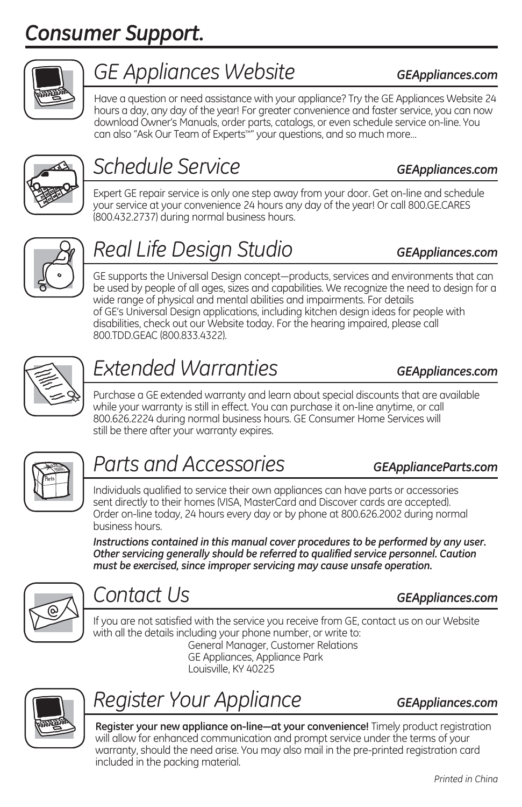### *Consumer Support.*



### *GE Appliances Website GEAppliances.com*

Have a question or need assistance with your appliance? Try the GE Appliances Website 24 hours a day, any day of the year! For greater convenience and faster service, you can now download Owner's Manuals, order parts, catalogs, or even schedule service on-line. You can also "Ask Our Team of Experts™" your questions, and so much more…



# *Schedule Service GEAppliances.com*

Expert GE repair service is only one step away from your door. Get on-line and schedule your service at your convenience 24 hours any day of the year! Or call 800.GE.CARES (800.432.2737) during normal business hours.



## *Real Life Design Studio GEAppliances.com*

GE supports the Universal Design concept—products, services and environments that can be used by people of all ages, sizes and capabilities. We recognize the need to design for a wide range of physical and mental abilities and impairments. For details of GE's Universal Design applications, including kitchen design ideas for people with disabilities, check out our Website today. For the hearing impaired, please call 800.TDD.GEAC (800.833.4322).



# *Extended Warranties GEAppliances.com*

Purchase a GE extended warranty and learn about special discounts that are available while your warranty is still in effect. You can purchase it on-line anytime, or call 800.626.2224 during normal business hours. GE Consumer Home Services will still be there after your warranty expires.



### *Parts and Accessories GEApplianceParts.com*

Individuals qualified to service their own appliances can have parts or accessories sent directly to their homes (VISA, MasterCard and Discover cards are accepted). Order on-line today, 24 hours every day or by phone at 800.626.2002 during normal business hours.

*Instructions contained in this manual cover procedures to be performed by any user. Other servicing generally should be referred to qualified service personnel. Caution must be exercised, since improper servicing may cause unsafe operation.* 



### *Contact Us GEAppliances.com*

If you are not satisfied with the service you receive from GE, contact us on our Website with all the details including your phone number, or write to: General Manager, Customer Relations GE Appliances, Appliance Park Louisville, KY 40225



### *Register Your Appliance GEAppliances.com*

Register your new appliance on-line-at your convenience! Timely product registration will allow for enhanced communication and prompt service under the terms of your warranty, should the need arise. You may also mail in the pre-printed registration card included in the packing material.

*Printed in China*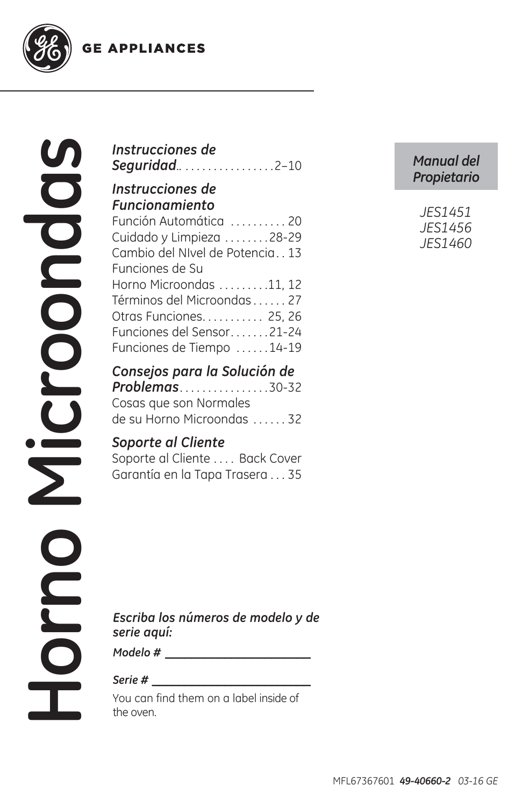**GE APPLIANCES** 



#### *Instrucciones de Seguridad*.. . . . . . . . . . . . . . . . .2–10

#### *Instrucciones de Funcionamiento*

| Función Automática  20         |  |
|--------------------------------|--|
| Cuidado y Limpieza 28-29       |  |
| Cambio del NIvel de Potencia13 |  |
| Funciones de Su                |  |
| Horno Microondas 11, 12        |  |
| Términos del Microondas 27     |  |
| Otras Funciones 25, 26         |  |
| Funciones del Sensor21-24      |  |
| Funciones de Tiempo 14-19      |  |

### *Consejos para la Solución de*

*Problemas* . . . . . . . . . . . . . . . .30-32 Cosas que son Normales de su Horno Microondas . . . . . . 32

#### *Soporte al Cliente*

Soporte al Cliente .... Back Cover Garantía en la Tapa Trasera . . . 35

#### *Manual del Propietario*

*Escriba los números de modelo y de serie aquí:*

*Modelo # \_\_\_\_\_\_\_\_\_\_\_\_\_\_\_\_\_\_\_\_\_\_*

#### *Serie # \_\_\_\_\_\_\_\_\_\_\_\_\_\_\_\_\_\_\_\_\_\_\_\_*

You can find them on a label inside of the oven.

MFL67367601 *49-40660-2 03-16 GE*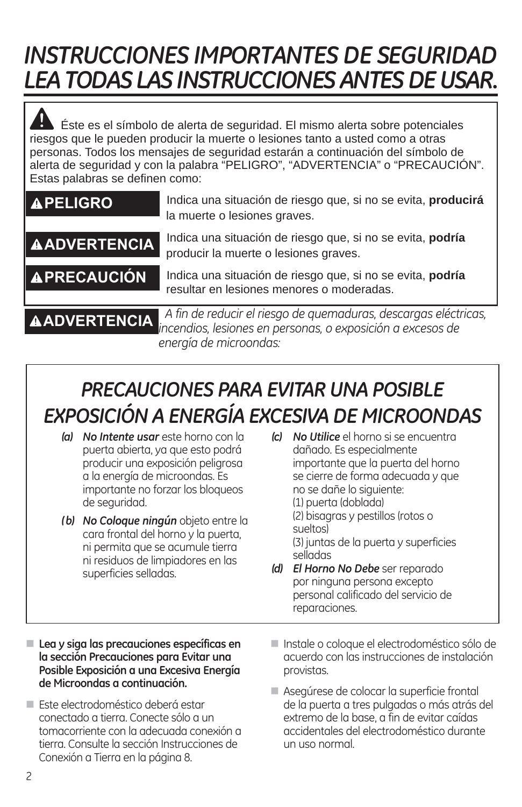# *INSTRUCCIONES IMPORTANTES DE SEGURIDAD LEA TODAS LAS INSTRUCCIONES ANTES DE USAR.*

 Éste es el símbolo de alerta de seguridad. El mismo alerta sobre potenciales riesgos que le pueden producir la muerte o lesiones tanto a usted como a otras personas. Todos los mensajes de seguridad estarán a continuación del símbolo de alerta de seguridad y con la palabra "PELIGRO", "ADVERTENCIA" o "PRECAUCIÓN". Estas palabras se definen como:

| <b>APELIGRO</b>     | Indica una situación de riesgo que, si no se evita, producirá<br>la muerte o lesiones graves.                                                    |  |
|---------------------|--------------------------------------------------------------------------------------------------------------------------------------------------|--|
| <b>AADVERTENCIA</b> | Indica una situación de riesgo que, si no se evita, <b>podría</b><br>producir la muerte o lesiones graves.                                       |  |
| <b>APRECAUCIÓN</b>  | Indica una situación de riesgo que, si no se evita, podría<br>resultar en lesiones menores o moderadas.                                          |  |
|                     | A fin de reducir el riesgo de quemaduras, descargas eléctricas,<br><b>AADVERTENCIA</b> A TIN de requem en resegu su que es posición a excesos de |  |

*energía de microondas:* 

### *PRECAUCIONES PARA EVITAR UNA POSIBLE EXPOSICIÓN A ENERGÍA EXCESIVA DE MICROONDAS*

- *(a) No Intente usar* este horno con la puerta abierta, ya que esto podrá producir una exposición peligrosa a la energía de microondas. Es importante no forzar los bloqueos de seguridad.
- *( b) No Coloque ningún* objeto entre la cara frontal del horno y la puerta, ni permita que se acumule tierra ni residuos de limpiadores en las superficies selladas.
- *(c) No Utilice* el horno si se encuentra dañado. Es especialmente importante que la puerta del horno se cierre de forma adecuada y que no se dañe lo siguiente: (1) puerta (doblada) (2) bisagras y pestillos (rotos o sueltos) (3) juntas de la puerta y superficies selladas *(d) El Horno No Debe* ser reparado
- por ninguna persona excepto personal calificado del servicio de reparaciones.
- **Lea y siga las precauciones específicas en la sección Precauciones para Evitar una Posible Exposición a una Excesiva Energía de Microondas a continuación.**
- Este electrodoméstico deberá estar conectado a tierra. Conecte sólo a un tomacorriente con la adecuada conexión a tierra. Consulte la sección Instrucciones de Conexión a Tierra en la página 8.
- Instale o coloque el electrodoméstico sólo de acuerdo con las instrucciones de instalación provistas.
- Asegúrese de colocar la superficie frontal de la puerta a tres pulgadas o más atrás del extremo de la base, a fin de evitar caídas accidentales del electrodoméstico durante un uso normal.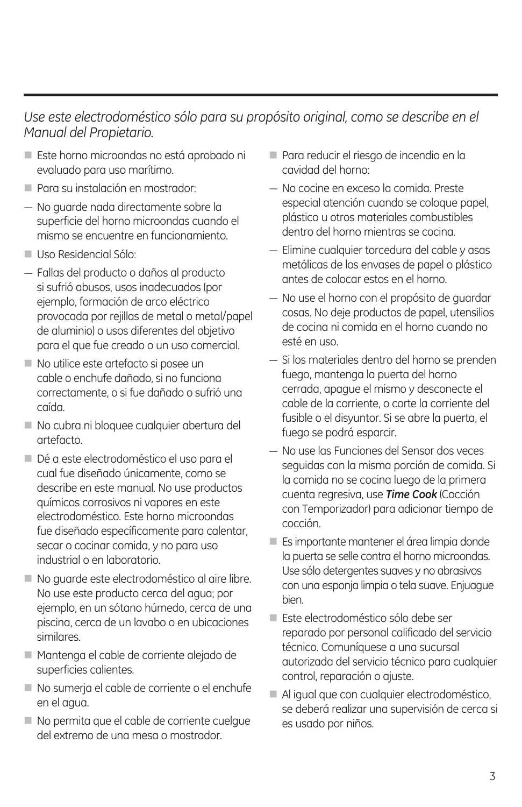#### *Use este electrodoméstico sólo para su propósito original, como se describe en el Manual del Propietario.*

- Este horno microondas no está aprobado ni evaluado para uso marítimo.
- **Para su instalación en mostrador:**
- $-$  No quarde nada directamente sobre la superficie del horno microondas cuando el mismo se encuentre en funcionamiento.
- Uso Residencial Sólo:
- $-$  Fallas del producto o daños al producto si sufrió abusos, usos inadecuados (por ejemplo, formación de arco eléctrico provocada por rejillas de metal o metal/papel de aluminio) o usos diferentes del objetivo para el que fue creado o un uso comercial.
- No utilice este artefacto si posee un cable o enchufe dañado, si no funciona correctamente, o si fue dañado o sufrió una caída.
- No cubra ni bloquee cualquier abertura del artefacto.
- Dé a este electrodoméstico el uso para el cual fue diseñado únicamente, como se describe en este manual. No use productos químicos corrosivos ni vapores en este electrodoméstico. Este horno microondas fue diseñado específicamente para calentar, secar o cocinar comida, y no para uso industrial o en laboratorio.
- No quarde este electrodoméstico al aire libre. No use este producto cerca del agua; por ejemplo, en un sótano húmedo, cerca de una piscina, cerca de un lavabo o en ubicaciones similares.
- Mantenga el cable de corriente alejado de superficies calientes.
- No sumerja el cable de corriente o el enchufe en el agua.
- No permita que el cable de corriente cuelque del extremo de una mesa o mostrador.
- Para reducir el riesgo de incendio en la cavidad del horno:
- No cocine en exceso la comida. Preste especial atención cuando se coloque papel, plástico u otros materiales combustibles dentro del horno mientras se cocina.
- Elimine cualquier torcedura del cable y asas metálicas de los envases de papel o plástico antes de colocar estos en el horno.
- No use el horno con el propósito de quardar cosas. No deje productos de papel, utensilios de cocina ni comida en el horno cuando no esté en uso.
- $-$  Si los materiales dentro del horno se prenden fuego, mantenga la puerta del horno cerrada, apague el mismo y desconecte el cable de la corriente, o corte la corriente del fusible o el disyuntor. Si se abre la puerta, el fuego se podrá esparcir.
- $-$  No use las Funciones del Sensor dos veces seguidas con la misma porción de comida. Si la comida no se cocina luego de la primera cuenta regresiva, use *Time Cook* (Cocción con Temporizador) para adicionar tiempo de cocción.
- Es importante mantener el área limpia donde la puerta se selle contra el horno microondas. Use sólo detergentes suaves y no abrasivos con una esponja limpia o tela suave. Enjuague bien.
- Este electrodoméstico sólo debe ser reparado por personal calificado del servicio técnico. Comuníquese a una sucursal autorizada del servicio técnico para cualquier control, reparación o ajuste.
- Al igual que con cualquier electrodoméstico, se deberá realizar una supervisión de cerca si es usado por niños.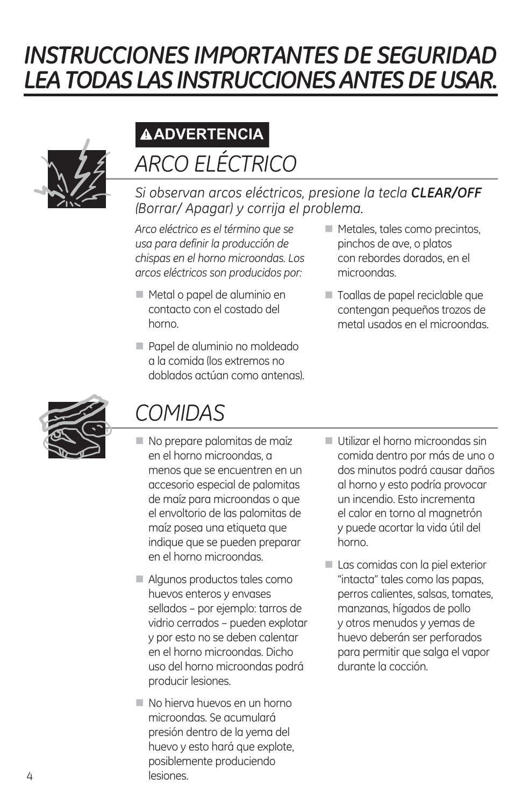# *INSTRUCCIONES IMPORTANTES DE SEGURIDAD LEA TODAS LAS INSTRUCCIONES ANTES DE USAR.*



### *ARCO ELÉCTRICO*  **ADVERTENCIA**

*Si observan arcos eléctricos, presione la tecla CLEAR/OFF (Borrar/ Apagar) y corrija el problema.*

*Arco eléctrico es el término que se usa para definir la producción de chispas en el horno microondas. Los arcos eléctricos son producidos por:*

- Metal o papel de aluminio en contacto con el costado del horno.
- Papel de aluminio no moldeado a la comida (los extremos no doblados actúan como antenas).
- $\blacksquare$  Metales, tales como precintos, pinchos de ave, o platos con rebordes dorados, en el microondas.
- Toallas de papel reciclable que contengan pequeños trozos de metal usados en el microondas.



### *COMIDAS*

- No prepare palomitas de maíz en el horno microondas, a menos que se encuentren en un accesorio especial de palomitas de maíz para microondas o que el envoltorio de las palomitas de maíz posea una etiqueta que indique que se pueden preparar en el horno microondas.
- Algunos productos tales como huevos enteros y envases sellados – por ejemplo: tarros de vidrio cerrados – pueden explotar y por esto no se deben calentar en el horno microondas. Dicho uso del horno microondas podrá producir lesiones.
- No hierva huevos en un horno microondas. Se acumulará presión dentro de la yema del huevo y esto hará que explote, posiblemente produciendo lesiones.
- Utilizar el horno microondas sin comida dentro por más de uno o dos minutos podrá causar daños al horno y esto podría provocar un incendio. Esto incrementa el calor en torno al magnetrón y puede acortar la vida útil del horno.
- Las comidas con la piel exterior "intacta" tales como las papas, perros calientes, salsas, tomates, manzanas, hígados de pollo y otros menudos y yemas de huevo deberán ser perforados para permitir que salga el vapor durante la cocción.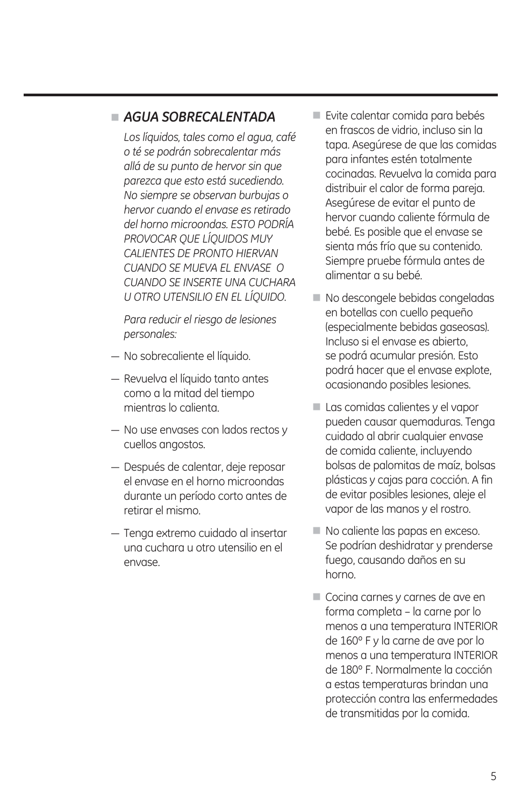#### *AGUA SOBRECALENTADA*

*Los líquidos, tales como el agua, café o té se podrán sobrecalentar más allá de su punto de hervor sin que parezca que esto está sucediendo. No siempre se observan burbujas o hervor cuando el envase es retirado del horno microondas. ESTO PODRÍA PROVOCAR QUE LÍQUIDOS MUY CALIENTES DE PRONTO HIERVAN CUANDO SE MUEVA EL ENVASE O CUANDO SE INSERTE UNA CUCHARA U OTRO UTENSILIO EN EL LÍQUIDO.*

*Para reducir el riesgo de lesiones personales:*

- No sobrecaliente el líquido.
- $-$  Revuelva el líquido tanto antes como a la mitad del tiempo mientras lo calienta.
- $-$  No use envases con lados rectos y cuellos angostos.
- Después de calentar, deje reposar el envase en el horno microondas durante un período corto antes de retirar el mismo.
- Tenga extremo cuidado al insertar una cuchara u otro utensilio en el envase.
- Evite calentar comida para bebés en frascos de vidrio, incluso sin la tapa. Asegúrese de que las comidas para infantes estén totalmente cocinadas. Revuelva la comida para distribuir el calor de forma pareja. Asegúrese de evitar el punto de hervor cuando caliente fórmula de bebé. Es posible que el envase se sienta más frío que su contenido. Siempre pruebe fórmula antes de alimentar a su bebé.
- $\blacksquare$  No descongele bebidas congeladas en botellas con cuello pequeño (especialmente bebidas gaseosas). Incluso si el envase es abierto, se podrá acumular presión. Esto podrá hacer que el envase explote, ocasionando posibles lesiones.
- Las comidas calientes y el vapor pueden causar quemaduras. Tenga cuidado al abrir cualquier envase de comida caliente, incluyendo bolsas de palomitas de maíz, bolsas plásticas y cajas para cocción. A fin de evitar posibles lesiones, aleje el vapor de las manos y el rostro.
- No caliente las papas en exceso. Se podrían deshidratar y prenderse fuego, causando daños en su horno.
- Cocina carnes y carnes de ave en forma completa – la carne por lo menos a una temperatura INTERIOR de 160º F y la carne de ave por lo menos a una temperatura INTERIOR de 180º F. Normalmente la cocción a estas temperaturas brindan una protección contra las enfermedades de transmitidas por la comida.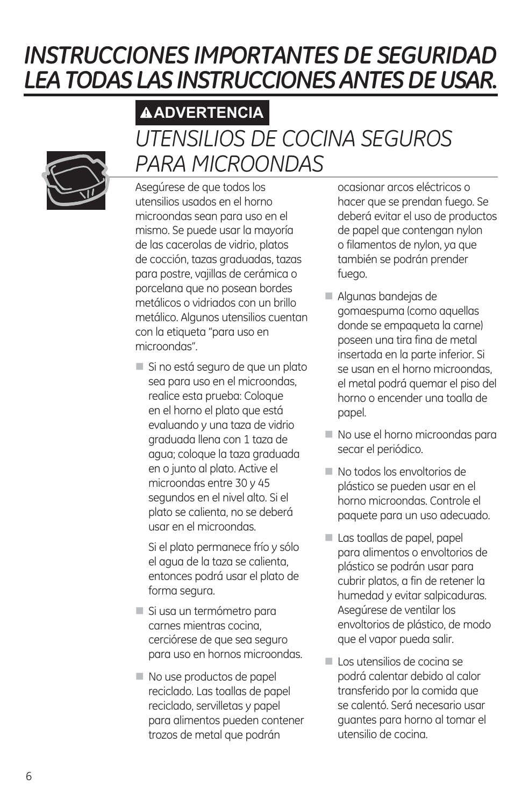### *INSTRUCCIONES IMPORTANTES DE SEGURIDAD LEA TODAS LAS INSTRUCCIONES ANTES DE USAR.*

### *UTENSILIOS DE COCINA SEGUROS PARA MICROONDAS*  **ADVERTENCIA**

Asegúrese de que todos los utensilios usados en el horno microondas sean para uso en el mismo. Se puede usar la mayoría de las cacerolas de vidrio, platos de cocción, tazas graduadas, tazas para postre, vajillas de cerámica o porcelana que no posean bordes metálicos o vidriados con un brillo metálico. Algunos utensilios cuentan con la etiqueta "para uso en microondas".

Si no está seguro de que un plato sea para uso en el microondas, realice esta prueba: Coloque en el horno el plato que está evaluando y una taza de vidrio graduada llena con 1 taza de agua; coloque la taza graduada en o junto al plato. Active el microondas entre 30 y 45 segundos en el nivel alto. Si el plato se calienta, no se deberá usar en el microondas.

 Si el plato permanece frío y sólo el agua de la taza se calienta, entonces podrá usar el plato de forma segura.

- Si usa un termómetro para carnes mientras cocina, cerciórese de que sea seguro para uso en hornos microondas.
- No use productos de papel reciclado. Las toallas de papel reciclado, servilletas y papel para alimentos pueden contener trozos de metal que podrán

ocasionar arcos eléctricos o hacer que se prendan fuego. Se deberá evitar el uso de productos de papel que contengan nylon o filamentos de nylon, ya que también se podrán prender fuego.

- Algunas bandejas de gomaespuma (como aquellas donde se empaqueta la carne) poseen una tira fina de metal insertada en la parte inferior. Si se usan en el horno microondas, el metal podrá quemar el piso del horno o encender una toalla de papel.
- No use el horno microondas para secar el periódico.
- No todos los envoltorios de plástico se pueden usar en el horno microondas. Controle el paquete para un uso adecuado.
- Las toallas de papel, papel para alimentos o envoltorios de plástico se podrán usar para cubrir platos, a fin de retener la humedad y evitar salpicaduras. Asegúrese de ventilar los envoltorios de plástico, de modo que el vapor pueda salir.
- Los utensilios de cocina se podrá calentar debido al calor transferido por la comida que se calentó. Será necesario usar guantes para horno al tomar el utensilio de cocina.

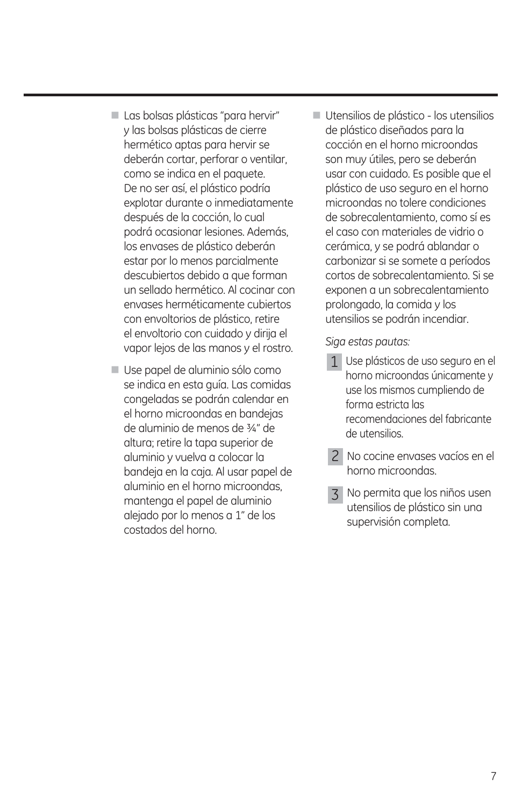- Las bolsas plásticas "para hervir" y las bolsas plásticas de cierre hermético aptas para hervir se deberán cortar, perforar o ventilar, como se indica en el paquete. De no ser así, el plástico podría explotar durante o inmediatamente después de la cocción, lo cual podrá ocasionar lesiones. Además, los envases de plástico deberán estar por lo menos parcialmente descubiertos debido a que forman un sellado hermético. Al cocinar con envases herméticamente cubiertos con envoltorios de plástico, retire el envoltorio con cuidado y dirija el vapor lejos de las manos y el rostro.
- Use papel de aluminio sólo como se indica en esta guía. Las comidas congeladas se podrán calendar en el horno microondas en bandejas de aluminio de menos de ¾" de altura; retire la tapa superior de aluminio y vuelva a colocar la bandeja en la caja. Al usar papel de aluminio en el horno microondas, mantenga el papel de aluminio alejado por lo menos a 1" de los costados del horno.
- Utensilios de plástico los utensilios de plástico diseñados para la cocción en el horno microondas son muy útiles, pero se deberán usar con cuidado. Es posible que el plástico de uso seguro en el horno microondas no tolere condiciones de sobrecalentamiento, como sí es el caso con materiales de vidrio o cerámica, y se podrá ablandar o carbonizar si se somete a períodos cortos de sobrecalentamiento. Si se exponen a un sobrecalentamiento prolongado, la comida y los utensilios se podrán incendiar.

 *Siga estas pautas:*

- 1 Use plásticos de uso seguro en el horno microondas únicamente y use los mismos cumpliendo de forma estricta las recomendaciones del fabricante de utensilios.
- 2 No cocine envases vacíos en el horno microondas.
- No permita que los niños usen utensilios de plástico sin una supervisión completa. 3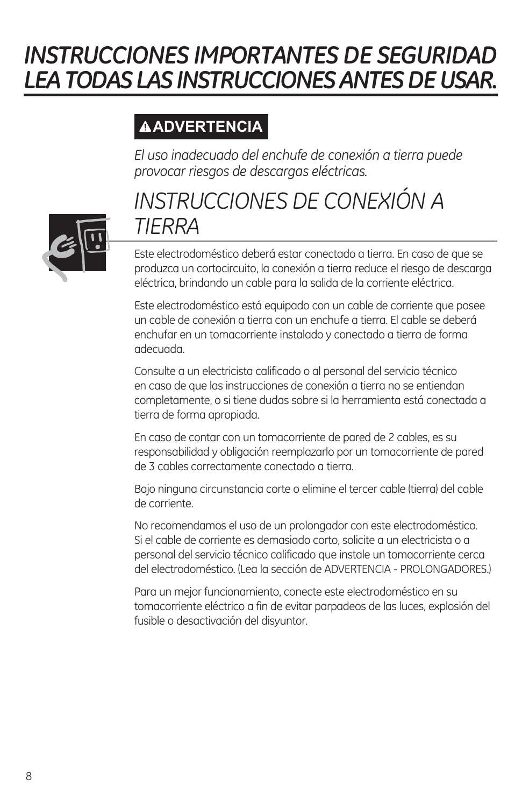# *INSTRUCCIONES IMPORTANTES DE SEGURIDAD LEA TODAS LAS INSTRUCCIONES ANTES DE USAR.*

### **ADVERTENCIA**

*El uso inadecuado del enchufe de conexión a tierra puede provocar riesgos de descargas eléctricas.*

### *INSTRUCCIONES DE CONEXIÓN A TIERRA*

Este electrodoméstico deberá estar conectado a tierra. En caso de que se produzca un cortocircuito, la conexión a tierra reduce el riesgo de descarga eléctrica, brindando un cable para la salida de la corriente eléctrica.

Este electrodoméstico está equipado con un cable de corriente que posee un cable de conexión a tierra con un enchufe a tierra. El cable se deberá enchufar en un tomacorriente instalado y conectado a tierra de forma adecuada.

Consulte a un electricista calificado o al personal del servicio técnico en caso de que las instrucciones de conexión a tierra no se entiendan completamente, o si tiene dudas sobre si la herramienta está conectada a tierra de forma apropiada.

En caso de contar con un tomacorriente de pared de 2 cables, es su responsabilidad y obligación reemplazarlo por un tomacorriente de pared de 3 cables correctamente conectado a tierra.

Bajo ninguna circunstancia corte o elimine el tercer cable (tierra) del cable de corriente.

No recomendamos el uso de un prolongador con este electrodoméstico. Si el cable de corriente es demasiado corto, solicite a un electricista o a personal del servicio técnico calificado que instale un tomacorriente cerca del electrodoméstico. (Lea la sección de ADVERTENCIA - PROLONGADORES.)

Para un mejor funcionamiento, conecte este electrodoméstico en su tomacorriente eléctrico a fin de evitar parpadeos de las luces, explosión del fusible o desactivación del disyuntor.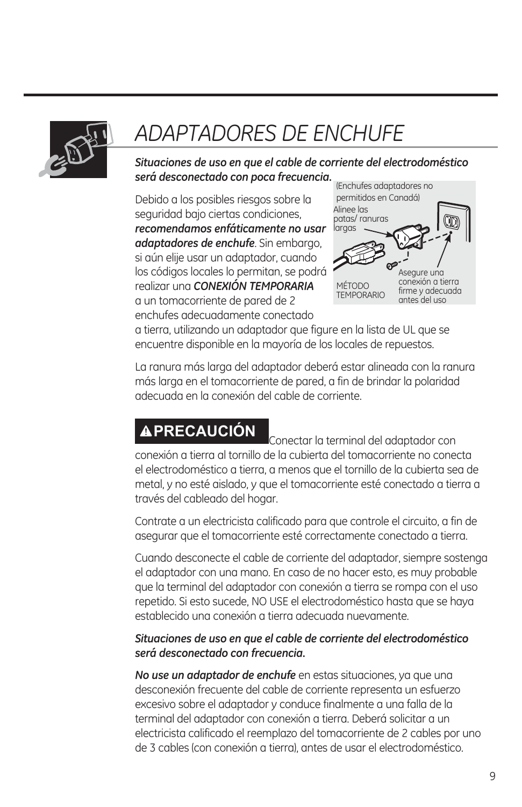

# *ADAPTADORES DE ENCHUFE*

*Situaciones de uso en que el cable de corriente del electrodoméstico será desconectado con poca frecuencia.*

Debido a los posibles riesgos sobre la seguridad bajo ciertas condiciones, *recomendamos enfáticamente no usar adaptadores de enchufe*. Sin embargo, si aún elije usar un adaptador, cuando los códigos locales lo permitan, se podrá realizar una *CONEXIÓN TEMPORARIA* a un tomacorriente de pared de 2 enchufes adecuadamente conectado



a tierra, utilizando un adaptador que figure en la lista de UL que se encuentre disponible en la mayoría de los locales de repuestos.

La ranura más larga del adaptador deberá estar alineada con la ranura más larga en el tomacorriente de pared, a fin de brindar la polaridad adecuada en la conexión del cable de corriente.

**APRECAUCIÓN** Conectar la terminal del adaptador con conexión a tierra al tornillo de la cubierta del tomacorriente no conecta el electrodoméstico a tierra, a menos que el tornillo de la cubierta sea de metal, y no esté aislado, y que el tomacorriente esté conectado a tierra a través del cableado del hogar.

Contrate a un electricista calificado para que controle el circuito, a fin de asegurar que el tomacorriente esté correctamente conectado a tierra.

Cuando desconecte el cable de corriente del adaptador, siempre sostenga el adaptador con una mano. En caso de no hacer esto, es muy probable que la terminal del adaptador con conexión a tierra se rompa con el uso repetido. Si esto sucede, NO USE el electrodoméstico hasta que se haya establecido una conexión a tierra adecuada nuevamente.

#### *Situaciones de uso en que el cable de corriente del electrodoméstico será desconectado con frecuencia.*

*No use un adaptador de enchufe* en estas situaciones, ya que una desconexión frecuente del cable de corriente representa un esfuerzo excesivo sobre el adaptador y conduce finalmente a una falla de la terminal del adaptador con conexión a tierra. Deberá solicitar a un electricista calificado el reemplazo del tomacorriente de 2 cables por uno de 3 cables (con conexión a tierra), antes de usar el electrodoméstico.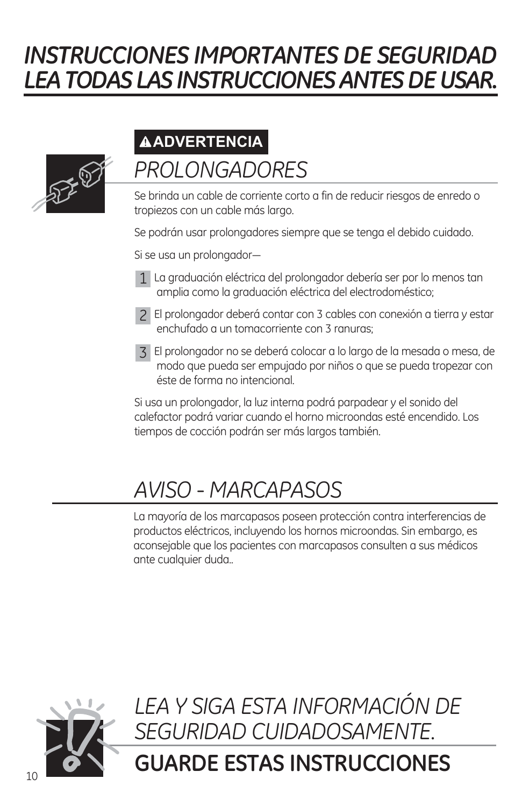# *INSTRUCCIONES IMPORTANTES DE SEGURIDAD LEA TODAS LAS INSTRUCCIONES ANTES DE USAR.*



### *PROLONGADORES* **ADVERTENCIA**

Se brinda un cable de corriente corto a fin de reducir riesgos de enredo o tropiezos con un cable más largo.

Se podrán usar prolongadores siempre que se tenga el debido cuidado.

Si se usa un prolongador-

- La graduación eléctrica del prolongador debería ser por lo menos tan 1 amplia como la graduación eléctrica del electrodoméstico;
- El prolongador deberá contar con 3 cables con conexión a tierra y estar 2 enchufado a un tomacorriente con 3 ranuras;
- El prolongador no se deberá colocar a lo largo de la mesada o mesa, de 3 modo que pueda ser empujado por niños o que se pueda tropezar con éste de forma no intencional.

Si usa un prolongador, la luz interna podrá parpadear y el sonido del calefactor podrá variar cuando el horno microondas esté encendido. Los tiempos de cocción podrán ser más largos también.

### *AVISO - MARCAPASOS*

La mayoría de los marcapasos poseen protección contra interferencias de productos eléctricos, incluyendo los hornos microondas. Sin embargo, es aconsejable que los pacientes con marcapasos consulten a sus médicos ante cualquier duda..

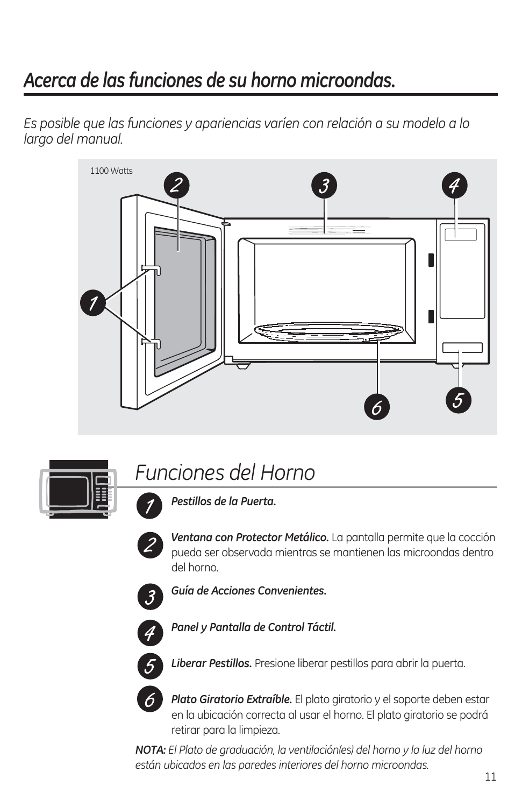### *Acerca de las funciones de su horno microondas.*

*Es posible que las funciones y apariencias varíen con relación a su modelo a lo largo del manual.*





### *Funciones del Horno*



*Ventana con Protector Metálico.* La pantalla permite que la cocción pueda ser observada mientras se mantienen las microondas dentro del horno.



*Guía de Acciones Convenientes.*



*Panel y Pantalla de Control Táctil.*



*Liberar Pestillos.* Presione liberar pestillos para abrir la puerta.



*Plato Giratorio Extraíble.* El plato giratorio y el soporte deben estar en la ubicación correcta al usar el horno. El plato giratorio se podrá retirar para la limpieza.

*NOTA: El Plato de graduación, la ventilación(es) del horno y la luz del horno están ubicados en las paredes interiores del horno microondas.*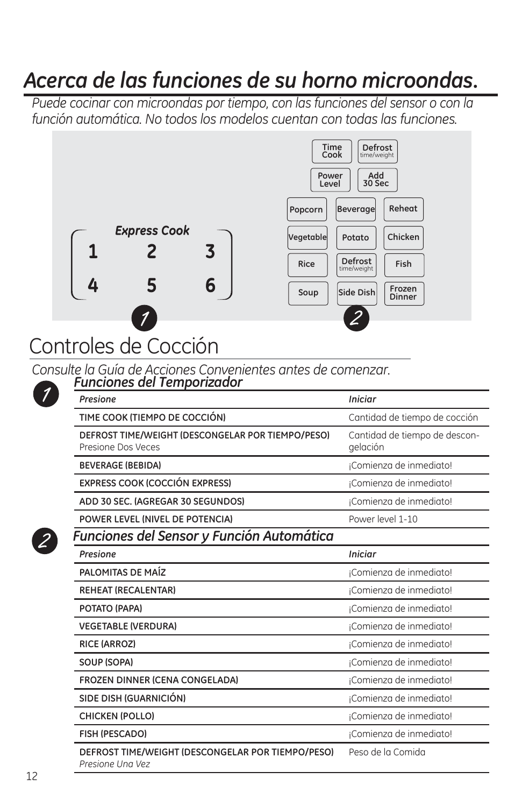### *Acerca de las funciones de su horno microondas.*

*Puede cocinar con microondas por tiempo, con las funciones del sensor o con la función automática. No todos los modelos cuentan con todas las funciones.*



## Controles de Cocción

*Consulte la Guía de Acciones Convenientes antes de comenzar.*

| Presione                                                                | <b>Iniciar</b>                            |
|-------------------------------------------------------------------------|-------------------------------------------|
| TIME COOK (TIEMPO DE COCCIÓN)                                           | Cantidad de tiempo de cocción             |
| DEFROST TIME/WEIGHT (DESCONGELAR POR TIEMPO/PESO)<br>Presione Dos Veces | Cantidad de tiempo de descon-<br>gelación |
| <b>BEVERAGE (BEBIDA)</b>                                                | ¡Comienza de inmediato!                   |
| <b>EXPRESS COOK (COCCIÓN EXPRESS)</b>                                   | ¡Comienza de inmediato!                   |
| ADD 30 SEC. (AGREGAR 30 SEGUNDOS)                                       | ¡Comienza de inmediato!                   |
| POWER LEVEL (NIVEL DE POTENCIA)                                         | Power level 1-10                          |
| Funciones del Sensor y Función Automática                               |                                           |
| Presione                                                                | <b>Iniciar</b>                            |
| PALOMITAS DE MAÍZ                                                       | ¡Comienza de inmediato!                   |
| <b>REHEAT (RECALENTAR)</b>                                              | ¡Comienza de inmediato!                   |
| POTATO (PAPA)                                                           | ¡Comienza de inmediato!                   |
| <b>VEGETABLE (VERDURA)</b>                                              | ¡Comienza de inmediato!                   |
| <b>RICE (ARROZ)</b>                                                     | ¡Comienza de inmediato!                   |
| SOUP (SOPA)                                                             | ¡Comienza de inmediato!                   |
| FROZEN DINNER (CENA CONGELADA)                                          | ¡Comienza de inmediato!                   |
| SIDE DISH (GUARNICIÓN)                                                  | ¡Comienza de inmediato!                   |
| <b>CHICKEN (POLLO)</b>                                                  | ¡Comienza de inmediato!                   |
| <b>FISH (PESCADO)</b>                                                   | ¡Comienza de inmediato!                   |
| DEFROST TIME/WEIGHT (DESCONGELAR POR TIEMPO/PESO)<br>Presione Una Vez   | Peso de la Comida                         |

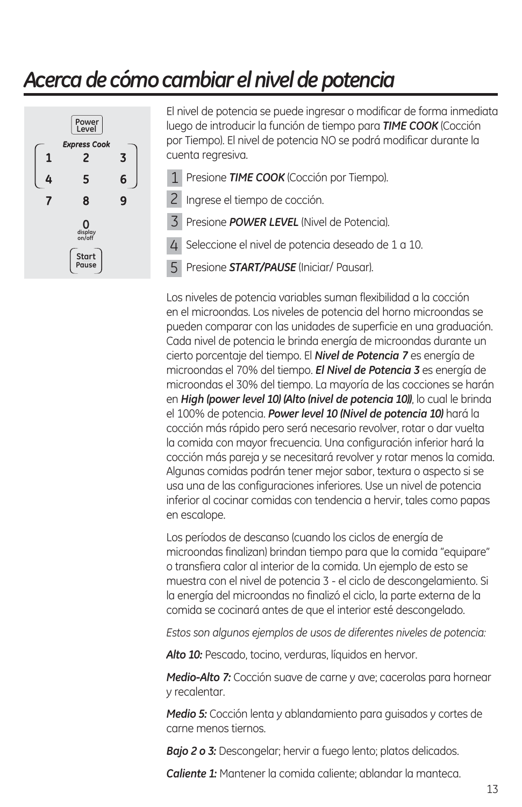### *Acerca de cómo cambiar el nivel de potencia*



El nivel de potencia se puede ingresar o modificar de forma inmediata luego de introducir la función de tiempo para *TIME COOK* (Cocción por Tiempo). El nivel de potencia NO se podrá modificar durante la cuenta regresiva.

- 1 Presione **TIME COOK** (Cocción por Tiempo).
- 2 Ingrese el tiempo de cocción.
- 3 Presione **POWER LEVEL** (Nivel de Potencia).
- 4 Seleccione el nivel de potencia deseado de 1 a 10.
- Presione *START/PAUSE* (Iniciar/ Pausar). 5

Los niveles de potencia variables suman flexibilidad a la cocción en el microondas. Los niveles de potencia del horno microondas se pueden comparar con las unidades de superficie en una graduación. Cada nivel de potencia le brinda energía de microondas durante un cierto porcentaje del tiempo. El *Nivel de Potencia 7* es energía de microondas el 70% del tiempo. *El Nivel de Potencia 3* es energía de microondas el 30% del tiempo. La mayoría de las cocciones se harán en *High (power level 10) (Alto (nivel de potencia 10))*, lo cual le brinda el 100% de potencia. *Power level 10 (Nivel de potencia 10)* hará la cocción más rápido pero será necesario revolver, rotar o dar vuelta la comida con mayor frecuencia. Una configuración inferior hará la cocción más pareja y se necesitará revolver y rotar menos la comida. Algunas comidas podrán tener mejor sabor, textura o aspecto si se usa una de las configuraciones inferiores. Use un nivel de potencia inferior al cocinar comidas con tendencia a hervir, tales como papas en escalope.

Los períodos de descanso (cuando los ciclos de energía de microondas finalizan) brindan tiempo para que la comida "equipare" o transfiera calor al interior de la comida. Un ejemplo de esto se muestra con el nivel de potencia 3 - el ciclo de descongelamiento. Si la energía del microondas no finalizó el ciclo, la parte externa de la comida se cocinará antes de que el interior esté descongelado.

*Estos son algunos ejemplos de usos de diferentes niveles de potencia:* 

Alto 10: Pescado, tocino, verduras, líquidos en hervor.

*Medio-Alto 7:* Cocción suave de carne y ave; cacerolas para hornear y recalentar.

*Medio 5:* Cocción lenta y ablandamiento para guisados y cortes de carne menos tiernos.

*Bajo 2 o 3:* Descongelar; hervir a fuego lento; platos delicados.

*Caliente 1:* Mantener la comida caliente; ablandar la manteca.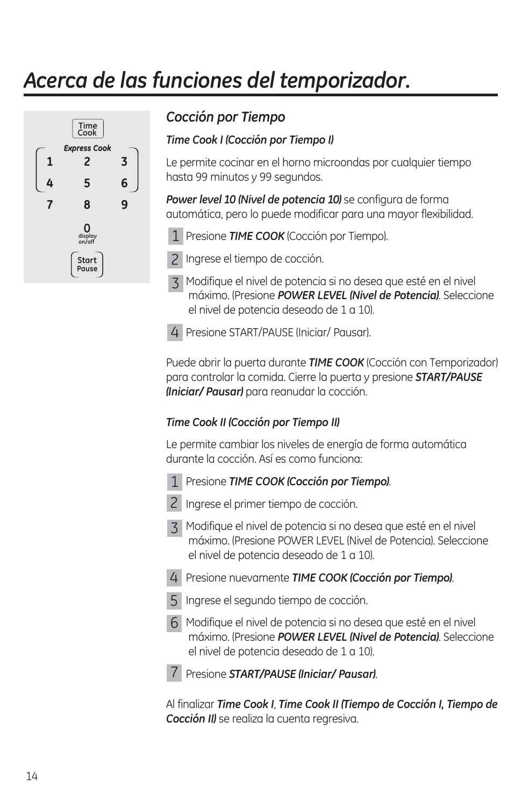# *Acerca de las funciones del temporizador.*



#### *Cocción por Tiempo*

#### *Time Cook I (Cocción por Tiempo I)*

Le permite cocinar en el horno microondas por cualquier tiempo hasta 99 minutos y 99 segundos.

**Power level 10 (Nivel de potencia 10)** se configura de forma automática, pero lo puede modificar para una mayor flexibilidad.

- 1 Presione **TIME COOK** (Cocción por Tiempo).
- 2 Ingrese el tiempo de cocción.
- Modifique el nivel de potencia si no desea que esté en el nivel 3 máximo. (Presione *POWER LEVEL (Nivel de Potencia)*. Seleccione el nivel de potencia deseado de 1 a 10).
- 4 Presione START/PAUSE (Iniciar/ Pausar).

Puede abrir la puerta durante *TIME COOK* (Cocción con Temporizador) para controlar la comida. Cierre la puerta y presione *START/PAUSE (Iniciar/ Pausar)* para reanudar la cocción.

#### *Time Cook II (Cocción por Tiempo II)*

Le permite cambiar los niveles de energía de forma automática durante la cocción. Así es como funciona:

- Presione *TIME COOK (Cocción por Tiempo)*. 1
- -



- 2 Ingrese el primer tiempo de cocción.
- Modifique el nivel de potencia si no desea que esté en el nivel 3 máximo. (Presione POWER LEVEL (Nivel de Potencia). Seleccione el nivel de potencia deseado de 1 a 10).
- Presione nuevamente *TIME COOK (Cocción por Tiempo)*. 4
- 5 Ingrese el segundo tiempo de cocción.
- Modifique el nivel de potencia si no desea que esté en el nivel 6 máximo. (Presione *POWER LEVEL (Nivel de Potencia)*. Seleccione el nivel de potencia deseado de 1 a 10).
- Presione *START/PAUSE (Iniciar/ Pausar)*. 7

Al finalizar *Time Cook I*, *Time Cook II (Tiempo de Cocción I, Tiempo de Cocción II)* se realiza la cuenta regresiva.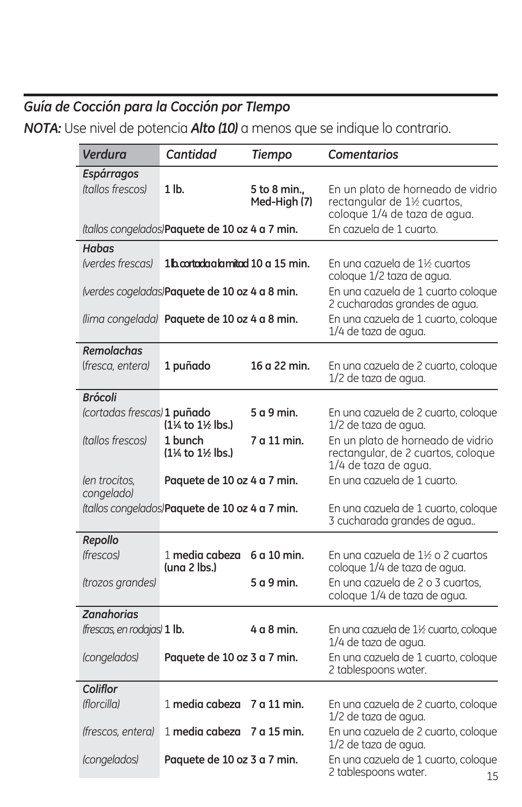### *Guía de Cocción para la Cocción por TIempo*

*NOTA:* Use nivel de potencia *Alto (10)* a menos que se indique lo contrario.

| Verdura                                       | <b>Cantidad</b>                                                                               | <b>Tiempo</b>                | <b>Comentarios</b>                                                                                                                 |
|-----------------------------------------------|-----------------------------------------------------------------------------------------------|------------------------------|------------------------------------------------------------------------------------------------------------------------------------|
| <b>Espárragos</b><br>(tallos frescos)         | $1$ lb.                                                                                       | 5 to 8 min.,<br>Med-High (7) | En un plato de horneado de vidrio<br>rectangular de 1½ cuartos,<br>coloque 1/4 de taza de agua.                                    |
|                                               | (tallos congelados) Paquete de 10 oz 4 a 7 min.                                               |                              | En cazuela de 1 cuarto.                                                                                                            |
| Habas<br>(verdes frescas)                     | 1 <sup>b</sup> cortada a la mitad 10 a 15 min.                                                |                              | En una cazuela de 1½ cuartos<br>coloque 1/2 taza de agua.                                                                          |
|                                               | (verdes cogeladas)Paquete de 10 oz 4 a 8 min.<br>(lima congelada) Paquete de 10 oz 4 a 8 min. |                              | En una cazuela de 1 cuarto coloque<br>2 cucharadas grandes de agua.<br>En una cazuela de 1 cuarto, coloque<br>1/4 de taza de agua. |
| <b>Remolachas</b><br>(fresca, entera)         | 1 puñado                                                                                      | 16 a 22 min.                 | En una cazuela de 2 cuarto, coloque<br>1/2 de taza de agua.                                                                        |
| <b>Brócoli</b><br>(cortadas frescas) 1 puñado | $(1\% \text{ to } 1\% \text{ lbs.})$                                                          | 5 a 9 min.                   | En una cazuela de 2 cuarto, coloque<br>1/2 de taza de agua.                                                                        |
| <i>(tallos frescos)</i>                       | 1 bunch<br>(1 <sup>1</sup> % to 1 <sup>1</sup> % lbs.)                                        | 7 a 11 min.                  | En un plato de horneado de vidrio<br>rectangular, de 2 cuartos, coloque<br>1/4 de taza de agua.                                    |
| (en trocitos,<br>congelado)                   | Paquete de 10 oz 4 a 7 min.                                                                   |                              | En una cazuela de 1 cuarto.                                                                                                        |
|                                               | (tallos congelados) Paquete de 10 oz 4 a 7 min.                                               |                              | En una cazuela de 1 cuarto, coloque<br>3 cucharada grandes de agua                                                                 |
| Repollo                                       |                                                                                               |                              |                                                                                                                                    |
| <i>(frescos)</i>                              | 1 media cabeza<br>(una 2 lbs.)                                                                | 6 a 10 min.                  | En una cazuela de 1½ o 2 cuartos<br>coloque 1/4 de taza de agua.                                                                   |
| (trozos grandes)                              |                                                                                               | 5 a 9 min.                   | En una cazuela de 2 o 3 cuartos.<br>coloque 1/4 de taza de agua.                                                                   |
| <b>Zanahorias</b>                             |                                                                                               |                              |                                                                                                                                    |
| (frescas, en rodajas) 1 lb.                   |                                                                                               | $4a8$ min.                   | En una cazuela de 1½ cuarto, coloque<br>1/4 de taza de agua.                                                                       |
| (congelados)                                  | Paquete de 10 oz 3 a 7 min.                                                                   |                              | En una cazuela de 1 cuarto, coloque<br>2 tablespoons water.                                                                        |
| Coliflor<br>(florcilla)                       | 1 media cabeza                                                                                | 7 a 11 min.                  | En una cazuela de 2 cuarto, coloque<br>1/2 de taza de agua.                                                                        |
| (frescos, entera)                             | 1 media cabeza                                                                                | 7 a 15 min.                  | En una cazuela de 2 cuarto, coloque<br>1/2 de taza de agua.                                                                        |
| (congelados)                                  | Paquete de 10 oz 3 a 7 min.                                                                   |                              | En una cazuela de 1 cuarto, coloque<br>2 tablespoons water.<br>15                                                                  |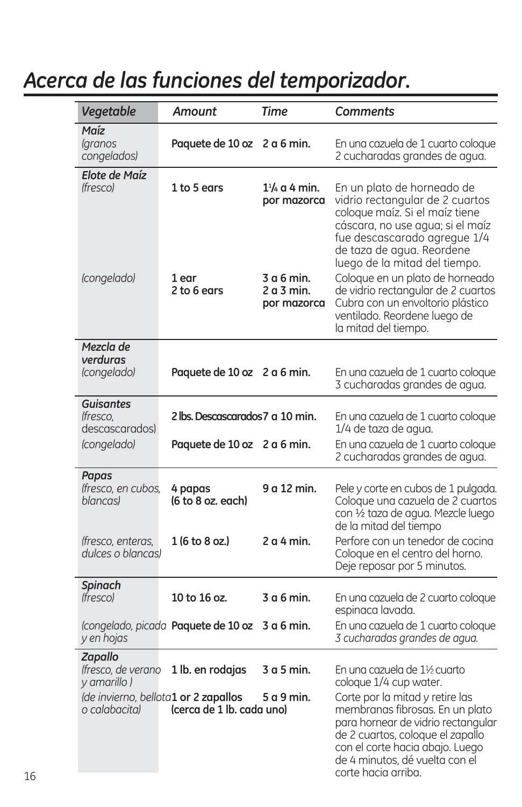### *Acerca de las funciones del temporizador.*

| Vegetable                                           | <b>Amount</b>                                                     | Time                                    | Comments                                                                                                                                                                                                                                 |
|-----------------------------------------------------|-------------------------------------------------------------------|-----------------------------------------|------------------------------------------------------------------------------------------------------------------------------------------------------------------------------------------------------------------------------------------|
| Maíz<br><i><u><b>aranos</b></u></i><br>congelados)  | Paquete de 10 oz 2 a 6 min.                                       |                                         | En una cazuela de 1 cuarto coloque<br>2 cucharadas grandes de agua.                                                                                                                                                                      |
| Elote de Maíz<br><i>(fresco)</i>                    | 1 to 5 ears                                                       | $1\frac{1}{4}$ a 4 min.<br>por mazorca  | En un plato de horneado de<br>vidrio rectangular de 2 cuartos<br>coloque maíz. Si el maíz tiene<br>cáscara, no use agua; si el maíz<br>fue descascarado agregue 1/4<br>de taza de agua. Reordene<br>luego de la mitad del tiempo.        |
| (congelado)                                         | 1 ear<br>2 to 6 ears                                              | 3 a 6 min.<br>2 a 3 min.<br>por mazorca | Coloque en un plato de horneado<br>de vidrio rectangular de 2 cuartos<br>Cubra con un envoltorio plástico<br>ventilado. Reordene luego de<br>la mitad del tiempo.                                                                        |
| Mezcla de<br>verduras<br>(congelado)                | Paquete de 10 oz 2 a 6 min.                                       |                                         | En una cazuela de 1 cuarto coloque<br>3 cucharadas grandes de agua.                                                                                                                                                                      |
| <b>Guisantes</b><br>lfresco,<br>descascarados)      | 2 lbs. Descascarados 7 a 10 min.                                  |                                         | En una cazuela de 1 cuarto coloque<br>1/4 de taza de agua.                                                                                                                                                                               |
| (congelado)                                         | Paquete de 10 oz 2 a 6 min.                                       |                                         | En una cazuela de 1 cuarto coloque<br>2 cucharadas grandes de agua.                                                                                                                                                                      |
| Papas<br>(fresco, en cubos,<br><i>blancasl</i>      | 4 papas<br>(6 to 8 oz. each)                                      | 9 a 12 min.                             | Pele y corte en cubos de 1 pulgada.<br>Coloque una cazuela de 2 cuartos<br>con 1/2 taza de agua. Mezcle luego<br>de la mitad del tiempo                                                                                                  |
| (fresco, enteras,<br>dulces o blancas)              | 1 (6 to 8 oz.)                                                    | $2a4$ min.                              | Perfore con un tenedor de cocina<br>Coloque en el centro del horno.<br>Deje reposar por 5 minutos.                                                                                                                                       |
| <b>Spinach</b><br><i>(fresco)</i>                   | 10 to 16 oz.                                                      | 3 a 6 min.                              | En una cazuela de 2 cuarto coloque<br>espinaca lavada.                                                                                                                                                                                   |
| y en hojas                                          | (congelado, picada <b>Paquete de 10 oz 3 a 6 min.</b>             |                                         | En una cazuela de 1 cuarto coloque<br>3 cucharadas grandes de agua.                                                                                                                                                                      |
| <b>Zapallo</b><br>(fresco, de verano<br>y amarillo) | 1 lb. en rodajas                                                  | 3 a 5 min.                              | En una cazuela de 1½ cuarto<br>coloque 1/4 cup water.                                                                                                                                                                                    |
| o calabacita)                                       | (de invierno, bellota1 or 2 zapallos<br>(cerca de 1 lb. cada uno) | 5 a 9 min.                              | Corte por la mitad y retire las<br>membranas fibrosas. En un plato<br>para hornear de vidrio rectangular<br>de 2 cuartos, coloque el zapallo<br>con el corte hacia abajo. Luego<br>de 4 minutos, dé vuelta con el<br>corte hacia arriba. |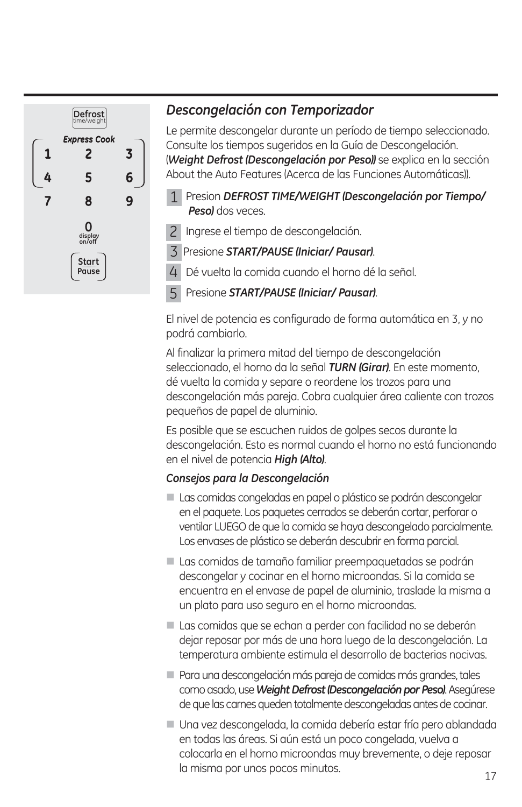

#### *Descongelación con Temporizador*

Le permite descongelar durante un período de tiempo seleccionado. Consulte los tiempos sugeridos en la Guía de Descongelación. (*Weight Defrost (Descongelación por Peso))* se explica en la sección About the Auto Features (Acerca de las Funciones Automáticas)).

- Presion *DEFROST TIME/WEIGHT (Descongelación por Tiempo/* 1 *Peso)* dos veces.
- 2 Ingrese el tiempo de descongelación.
- Presione *START/PAUSE (Iniciar/ Pausar)*. 3

 Dé vuelta la comida cuando el horno dé la señal. 4

 Presione *START/PAUSE (Iniciar/ Pausar)*. 5

El nivel de potencia es configurado de forma automática en 3, y no podrá cambiarlo.

Al finalizar la primera mitad del tiempo de descongelación seleccionado, el horno da la señal *TURN (Girar)*. En este momento, dé vuelta la comida y separe o reordene los trozos para una descongelación más pareja. Cobra cualquier área caliente con trozos pequeños de papel de aluminio.

Es posible que se escuchen ruidos de golpes secos durante la descongelación. Esto es normal cuando el horno no está funcionando en el nivel de potencia *High (Alto)*.

#### *Consejos para la Descongelación*

- Las comidas congeladas en papel o plástico se podrán descongelar en el paquete. Los paquetes cerrados se deberán cortar, perforar o ventilar LUEGO de que la comida se haya descongelado parcialmente. Los envases de plástico se deberán descubrir en forma parcial.
- Las comidas de tamaño familiar preempaquetadas se podrán descongelar y cocinar en el horno microondas. Si la comida se encuentra en el envase de papel de aluminio, traslade la misma a un plato para uso seguro en el horno microondas.
- Las comidas que se echan a perder con facilidad no se deberán dejar reposar por más de una hora luego de la descongelación. La temperatura ambiente estimula el desarrollo de bacterias nocivas.
- Para una descongelación más pareja de comidas más grandes, tales como asado, use *Weight Defrost (Descongelación por Peso)*. Asegúrese de que las carnes queden totalmente descongeladas antes de cocinar.
- Una vez descongelada, la comida debería estar fría pero ablandada en todas las áreas. Si aún está un poco congelada, vuelva a colocarla en el horno microondas muy brevemente, o deje reposar la misma por unos pocos minutos.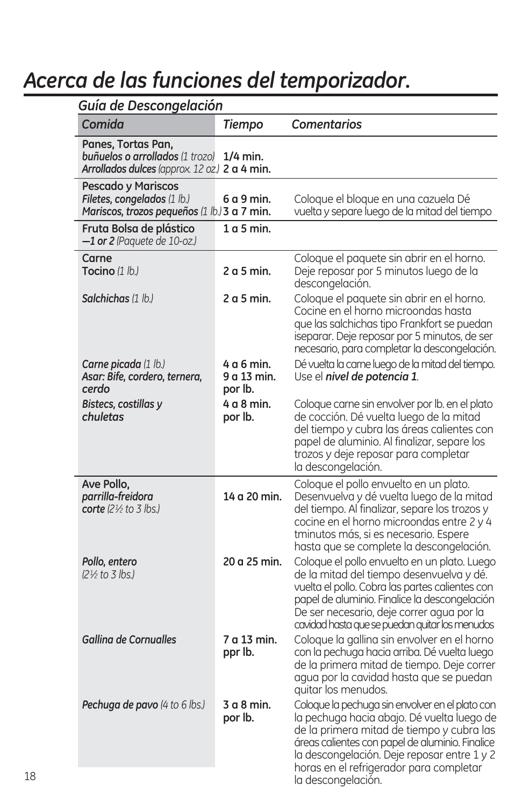# *Acerca de las funciones del temporizador.*

| Guía de Descongelación                                                                                        |                                      |                                                                                                                                                                                                                                                                                                               |  |  |
|---------------------------------------------------------------------------------------------------------------|--------------------------------------|---------------------------------------------------------------------------------------------------------------------------------------------------------------------------------------------------------------------------------------------------------------------------------------------------------------|--|--|
| Comida                                                                                                        | <b>Tiempo</b>                        | <b>Comentarios</b>                                                                                                                                                                                                                                                                                            |  |  |
| Panes, Tortas Pan,<br><b>buñuelos o arrollados</b> (1 trozo)<br>Arrollados dulces (approx. 12 oz.) 2 a 4 min. | $1/4$ min.                           |                                                                                                                                                                                                                                                                                                               |  |  |
| <b>Pescado y Mariscos</b><br>Filetes, congelados (1 lb.)<br>Mariscos, trozos pequeños (1 lb.) 3 a 7 min.      | 6a9min                               | Coloque el bloque en una cazuela Dé<br>vuelta y separe luego de la mitad del tiempo                                                                                                                                                                                                                           |  |  |
| Fruta Bolsa de plástico<br>$-1$ or 2 (Paquete de 10-oz.)                                                      | $1a5$ min.                           |                                                                                                                                                                                                                                                                                                               |  |  |
| Carne<br><b>Tocino</b> (1 lb.)                                                                                | 2a <sub>5</sub> min.                 | Coloque el paquete sin abrir en el horno.<br>Deje reposar por 5 minutos luego de la<br>descongelación.                                                                                                                                                                                                        |  |  |
| Salchichas (1 lb.)                                                                                            | 2a <sub>5</sub> min.                 | Coloque el paquete sin abrir en el horno.<br>Cocine en el horno microondas hasta<br>que las salchichas tipo Frankfort se puedan<br>iseparar. Deje reposar por 5 minutos, de ser<br>necesario, para completar la descongelación.                                                                               |  |  |
| <b>Carne picada</b> (1 lb.)<br>Asar: Bife, cordero, ternera,<br>cerdo                                         | 4 a 6 min.<br>9 a 13 min.<br>por Ib. | Dé vuelta la came luego de la mitad del tiempo.<br>Use el nivel de potencia 1.                                                                                                                                                                                                                                |  |  |
| Bistecs, costillas y<br>chuletas                                                                              | 4 a 8 min.<br>por Ib.                | Coloque carne sin envolver por lb. en el plato<br>de cocción. Dé vuelta luego de la mitad<br>del tiempo y cubra las áreas calientes con<br>papel de aluminio. Al finalizar, separe los<br>trozos y deje reposar para completar<br>la descongelación.                                                          |  |  |
| Ave Pollo,<br>parrilla-freidora<br>corte $(2\frac{1}{2}$ to 3 lbs.)                                           | 14 a 20 min.                         | Coloque el pollo envuelto en un plato.<br>Desenvuelva y dé vuelta luego de la mitad<br>del tiempo. Al finalizar, separe los trozos y<br>cocine en el horno microondas entre 2 y 4<br>tminutos más, si es necesario. Espere<br>hasta que se complete la descongelación.                                        |  |  |
| Pollo, entero<br>(2½ to 3 lbs.)                                                                               | 20 a 25 min.                         | Coloque el pollo envuelto en un plato. Luego<br>de la mitad del tiempo desenvuelva y dé.<br>vuelta el pollo. Cobra las partes calientes con<br>papel de aluminio. Finalice la descongelación<br>De ser necesario, deje correr agua por la<br>cavidad hasta que se puedan quitar los menudos                   |  |  |
| <b>Gallina de Cornualles</b>                                                                                  | 7 a 13 min.<br>ppr lb.               | Cologue la gallina sin envolver en el horno<br>con la pechuga hacia arriba. Dé vuelta luego<br>de la primera mitad de tiempo. Deje correr<br>agua por la cavidad hasta que se puedan<br>quitar los menudos.                                                                                                   |  |  |
| <b>Pechuga de pavo</b> (4 to 6 lbs.)                                                                          | 3 a 8 min.<br>por Ib.                | Coloque la pechuga sin envolver en el plato con<br>la pechuga hacia abajo. Dé vuelta luego de<br>de la primera mitad de tiempo y cubra las<br>áreas calientes con papel de aluminio. Finalice<br>la descongelación. Deje reposar entre 1 y 2<br>horas en el refrigerador para completar<br>la descongelación. |  |  |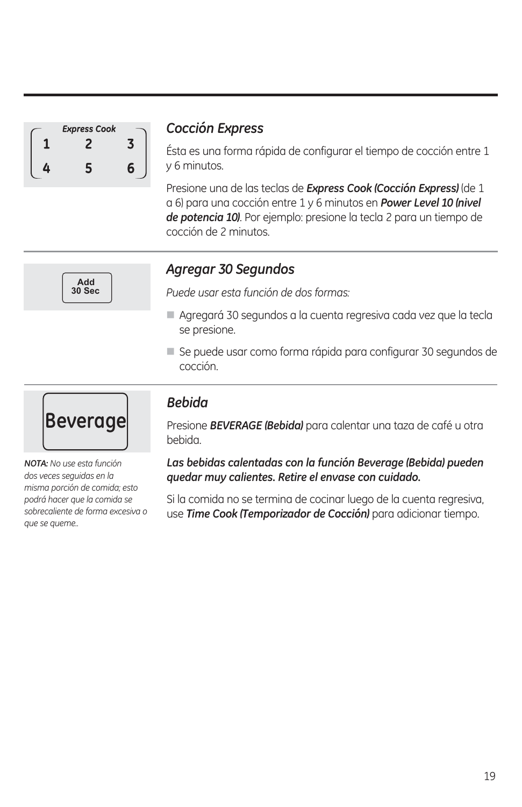| <b>Express Cook</b> |   |
|---------------------|---|
|                     |   |
| c                   | ค |

**Add 30 Sec**

#### *Cocción Express*

Ésta es una forma rápida de configurar el tiempo de cocción entre 1 y 6 minutos.

Presione una de las teclas de *Express Cook (Cocción Express)* (de 1 a 6) para una cocción entre 1 y 6 minutos en *Power Level 10 (nivel de potencia 10)*. Por ejemplo: presione la tecla 2 para un tiempo de cocción de 2 minutos.



*Puede usar esta función de dos formas:*

- Agregará 30 segundos a la cuenta regresiva cada vez que la tecla se presione.
- Se puede usar como forma rápida para configurar 30 segundos de cocción.



*NOTA: No use esta función dos veces seguidas en la misma porción de comida; esto podrá hacer que la comida se sobrecaliente de forma excesiva o que se queme..*

#### *Bebida*

Presione *BEVERAGE (Bebida)* para calentar una taza de café u otra bebida.

*Las bebidas calentadas con la función Beverage (Bebida) pueden quedar muy calientes. Retire el envase con cuidado.* 

Si la comida no se termina de cocinar luego de la cuenta regresiva, use *Time Cook (Temporizador de Cocción)* para adicionar tiempo.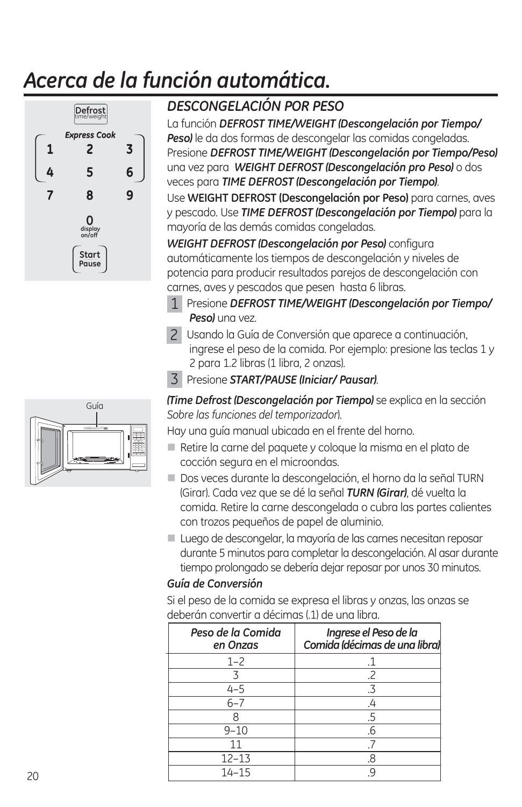# *Acerca de la función automática.*



### *DESCONGELACIÓN POR PESO*

La función *DEFROST TIME/WEIGHT (Descongelación por Tiempo/ Peso)* le da dos formas de descongelar las comidas congeladas. Presione *DEFROST TIME/WEIGHT (Descongelación por Tiempo/Peso)* una vez para *WEIGHT DEFROST (Descongelación pro Peso)* o dos veces para *TIME DEFROST (Descongelación por Tiempo)*.

Use **WEIGHT DEFROST (Descongelación por Peso)** para carnes, aves y pescado. Use *TIME DEFROST (Descongelación por Tiempo)* para la mayoría de las demás comidas congeladas.

*WEIGHT DEFROST (Descongelación por Peso)* configura automáticamente los tiempos de descongelación y niveles de potencia para producir resultados parejos de descongelación con carnes, aves y pescados que pesen hasta 6 libras.

 Presione *DEFROST TIME/WEIGHT (Descongelación por Tiempo/* 1 Peso) una vez.

- 2 Usando la Guía de Conversión que aparece a continuación, ingrese el peso de la comida. Por ejemplo: presione las teclas 1 y 2 para 1.2 libras (1 libra, 2 onzas).
- Presione *START/PAUSE (Iniciar/ Pausar)*. 3

*(Time Defrost (Descongelación por Tiempo)* se explica en la sección *Sobre las funciones del temporizador*).

Hay una guía manual ubicada en el frente del horno.

- Retire la carne del paquete y coloque la misma en el plato de cocción segura en el microondas.
- Dos veces durante la descongelación, el horno da la señal TURN (Girar). Cada vez que se dé la señal *TURN (Girar)*, dé vuelta la comida. Retire la carne descongelada o cubra las partes calientes con trozos pequeños de papel de aluminio.
- Luego de descongelar, la mayoría de las carnes necesitan reposar durante 5 minutos para completar la descongelación. Al asar durante tiempo prolongado se debería dejar reposar por unos 30 minutos.

#### *Guía de Conversión*

Si el peso de la comida se expresa el libras y onzas, las onzas se deberán convertir a décimas (.1) de una libra.

| Peso de la Comida<br>en Onzas | Ingrese el Peso de la<br>Comida (décimas de una libra) |
|-------------------------------|--------------------------------------------------------|
| $1 - 2$                       |                                                        |
|                               | .2                                                     |
| $4 - 5$                       | .3                                                     |
| $6 - 7$                       | .4                                                     |
| 8                             | .5                                                     |
| $9 - 10$                      | .6                                                     |
| 11                            |                                                        |
| $12 - 13$                     | .8                                                     |
| $14 - 15$                     |                                                        |

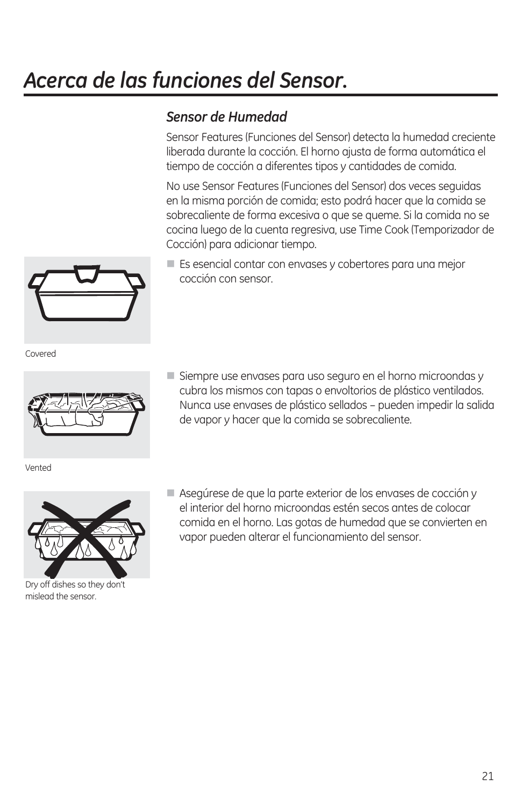## *Acerca de las funciones del Sensor.*

### *Sensor de Humedad*

Sensor Features (Funciones del Sensor) detecta la humedad creciente liberada durante la cocción. El horno ajusta de forma automática el tiempo de cocción a diferentes tipos y cantidades de comida.

No use Sensor Features (Funciones del Sensor) dos veces seguidas en la misma porción de comida; esto podrá hacer que la comida se sobrecaliente de forma excesiva o que se queme. Si la comida no se cocina luego de la cuenta regresiva, use Time Cook (Temporizador de Cocción) para adicionar tiempo.

 Es esencial contar con envases y cobertores para una mejor cocción con sensor.

Covered



Vented



Dry off dishes so they don't mislead the sensor.

- Siempre use envases para uso seguro en el horno microondas y cubra los mismos con tapas o envoltorios de plástico ventilados. Nunca use envases de plástico sellados – pueden impedir la salida de vapor y hacer que la comida se sobrecaliente.
- Asegúrese de que la parte exterior de los envases de cocción y el interior del horno microondas estén secos antes de colocar comida en el horno. Las gotas de humedad que se convierten en vapor pueden alterar el funcionamiento del sensor.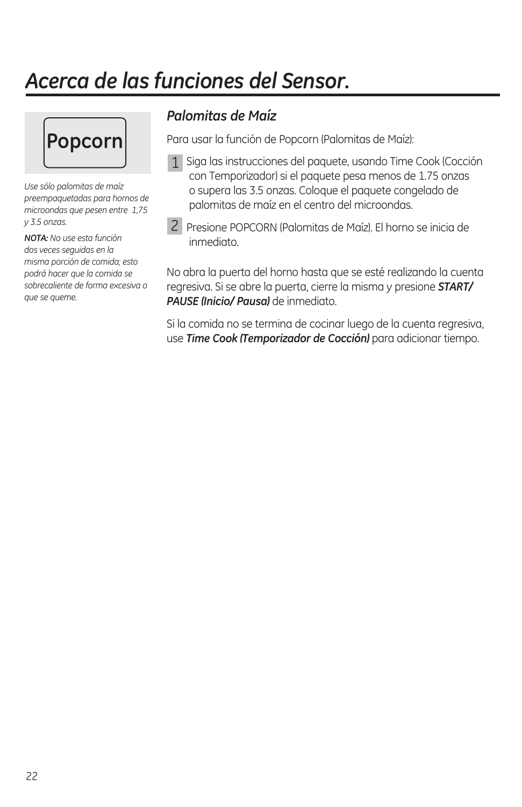### *Acerca de las funciones del Sensor.*



*Use sólo palomitas de maíz preempaquetadas para hornos de microondas que pesen entre 1,75 y 3.5 onzas.* 

*NOTA: No use esta función dos veces seguidas en la misma porción de comida; esto podrá hacer que la comida se sobrecaliente de forma excesiva o que se queme.* 

### *Palomitas de Maíz*

Para usar la función de Popcorn (Palomitas de Maíz):

- 1 Siga las instrucciones del paquete, usando Time Cook (Cocción con Temporizador) si el paquete pesa menos de 1.75 onzas o supera las 3.5 onzas. Coloque el paquete congelado de palomitas de maíz en el centro del microondas.
- 2 Presione POPCORN (Palomitas de Maíz). El horno se inicia de inmediato.

No abra la puerta del horno hasta que se esté realizando la cuenta regresiva. Si se abre la puerta, cierre la misma y presione *START/ PAUSE (Inicio/ Pausa)* de inmediato.

Si la comida no se termina de cocinar luego de la cuenta regresiva, use *Time Cook (Temporizador de Cocción)* para adicionar tiempo.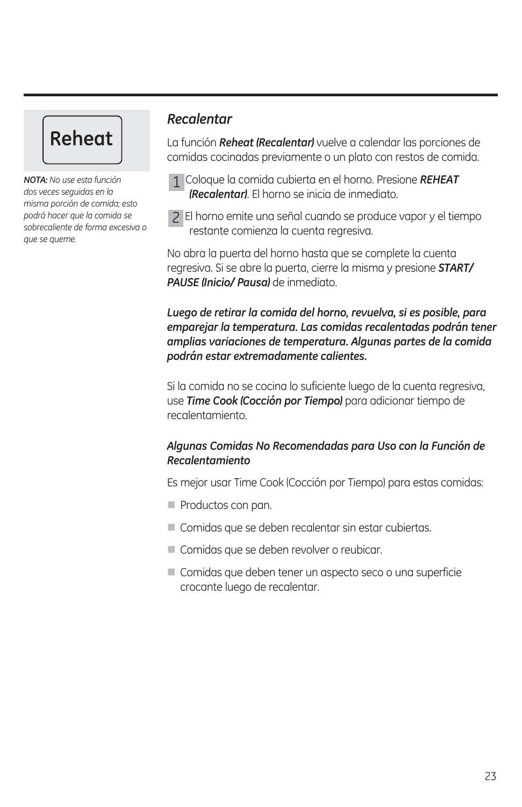# **Reheat**

*NOTA: No use esta función dos veces seguidas en la misma porción de comida; esto podrá hacer que la comida se sobrecaliente de forma excesiva o que se queme.*

#### *Recalentar*

La función *Reheat (Recalentar)* vuelve a calendar las porciones de comidas cocinadas previamente o un plato con restos de comida.

- Coloque la comida cubierta en el horno. Presione *REHEAT*  1 *(Recalentar)*. El horno se inicia de inmediato.
- El horno emite una señal cuando se produce vapor y el tiempo 2 restante comienza la cuenta regresiva.

No abra la puerta del horno hasta que se complete la cuenta regresiva. Si se abre la puerta, cierre la misma y presione *START/ PAUSE (Inicio/ Pausa)* de inmediato.

#### *Luego de retirar la comida del horno, revuelva, si es posible, para emparejar la temperatura. Las comidas recalentadas podrán tener amplias variaciones de temperatura. Algunas partes de la comida podrán estar extremadamente calientes.*

Si la comida no se cocina lo suficiente luego de la cuenta regresiva, use *Time Cook (Cocción por Tiempo)* para adicionar tiempo de recalentamiento.

#### *Algunas Comidas No Recomendadas para Uso con la Función de Recalentamiento*

Es mejor usar Time Cook (Cocción por Tiempo) para estas comidas:

- Productos con pan.
- Comidas que se deben recalentar sin estar cubiertas.
- Comidas que se deben revolver o reubicar.
- Comidas que deben tener un aspecto seco o una superficie crocante luego de recalentar.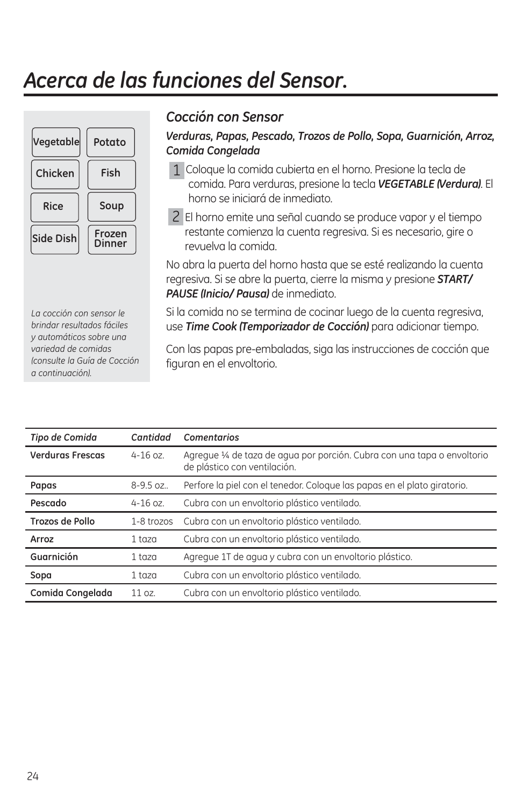### *Acerca de las funciones del Sensor.*



#### *Cocción con Sensor*

#### *Verduras, Papas, Pescado, Trozos de Pollo, Sopa, Guarnición, Arroz, Comida Congelada*

- Coloque la comida cubierta en el horno. Presione la tecla de 1 comida. Para verduras, presione la tecla *VEGETABLE (Verdura)*. El horno se iniciará de inmediato.
- El horno emite una señal cuando se produce vapor y el tiempo 2 restante comienza la cuenta regresiva. Si es necesario, gire o revuelva la comida.

No abra la puerta del horno hasta que se esté realizando la cuenta regresiva. Si se abre la puerta, cierre la misma y presione *START/ PAUSE (Inicio/ Pausa)* de inmediato.

Si la comida no se termina de cocinar luego de la cuenta regresiva, use *Time Cook (Temporizador de Cocción)* para adicionar tiempo.

Con las papas pre-embaladas, siga las instrucciones de cocción que figuran en el envoltorio.

| Tipo de Comida          | Cantidad     | Comentarios                                                                                            |
|-------------------------|--------------|--------------------------------------------------------------------------------------------------------|
| <b>Verduras Frescas</b> | $4 - 16$ oz. | Agregue ¼ de taza de agua por porción. Cubra con una tapa o envoltorio<br>de plástico con ventilación. |
| Papas                   | 8-9.5 oz     | Perfore la piel con el tenedor. Coloque las papas en el plato giratorio.                               |
| Pescado                 | $4 - 16$ oz. | Cubra con un envoltorio plástico ventilado.                                                            |
| Trozos de Pollo         | 1-8 trozos   | Cubra con un envoltorio plástico ventilado.                                                            |
| Arroz                   | $1$ taza     | Cubra con un envoltorio plástico ventilado.                                                            |
| Guarnición              | $1$ taza     | Agregue 1T de agua y cubra con un envoltorio plástico.                                                 |
| Sopa                    | $1$ taza     | Cubra con un envoltorio plástico ventilado.                                                            |
| Comida Congelada        | 11 oz        | Cubra con un envoltorio plástico ventilado.                                                            |

*La cocción con sensor le brindar resultados fáciles y automáticos sobre una variedad de comidas (consulte la Guía de Cocción a continuación).*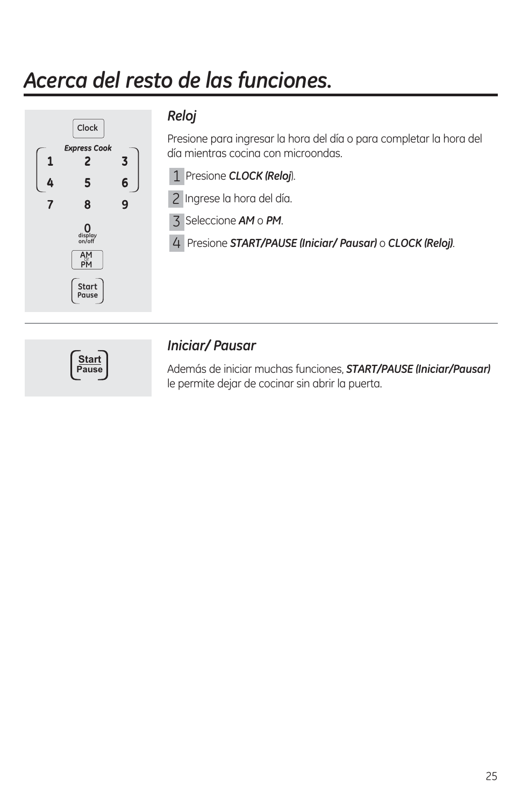# *Acerca del resto de las funciones.*



#### *Reloj*

Presione para ingresar la hora del día o para completar la hora del día mientras cocina con microondas.

Presione *CLOCK (Reloj*). 1

2 Ingrese la hora del día.

Seleccione *AM* o *PM*. 3

Presione *START/PAUSE (Iniciar/ Pausar)* o *CLOCK (Reloj)*. 4



#### *Iniciar/ Pausar*

Además de iniciar muchas funciones, *START/PAUSE (Iniciar/Pausar)* le permite dejar de cocinar sin abrir la puerta.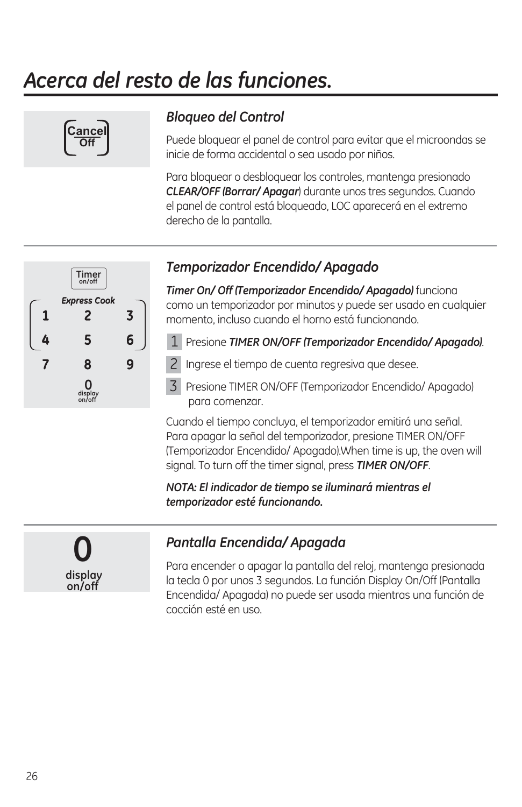# *Acerca del resto de las funciones.*



### *Bloqueo del Control*

Puede bloquear el panel de control para evitar que el microondas se inicie de forma accidental o sea usado por niños.

Para bloquear o desbloquear los controles, mantenga presionado *CLEAR/OFF (Borrar/ Apagar*) durante unos tres segundos. Cuando el panel de control está bloqueado, LOC aparecerá en el extremo derecho de la pantalla.



#### *Temporizador Encendido/ Apagado*

*Timer On/ Off (Temporizador Encendido/ Apagado)* funciona como un temporizador por minutos y puede ser usado en cualquier momento, incluso cuando el horno está funcionando.

- Presione *TIMER ON/OFF (Temporizador Encendido/ Apagado)*. 1
- 2 Ingrese el tiempo de cuenta regresiva que desee.
- Presione TIMER ON/OFF (Temporizador Encendido/ Apagado) 3 para comenzar.

Cuando el tiempo concluya, el temporizador emitirá una señal. Para apagar la señal del temporizador, presione TIMER ON/OFF (Temporizador Encendido/ Apagado).When time is up, the oven will signal. To turn off the timer signal, press *TIMER ON/OFF*.

#### *NOTA: El indicador de tiempo se iluminará mientras el temporizador esté funcionando.*



#### *Pantalla Encendida/ Apagada*

Para encender o apagar la pantalla del reloj, mantenga presionada la tecla 0 por unos 3 segundos. La función Display On/Off (Pantalla Encendida/ Apagada) no puede ser usada mientras una función de cocción esté en uso.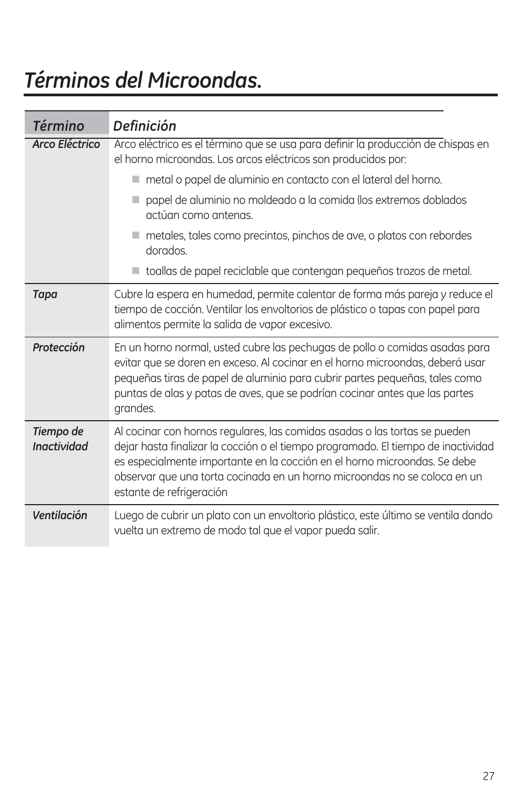## *Términos del Microondas.*

| <b>Término</b>                  | Definición                                                                                                                                                                                                                                                                                                                                            |
|---------------------------------|-------------------------------------------------------------------------------------------------------------------------------------------------------------------------------------------------------------------------------------------------------------------------------------------------------------------------------------------------------|
| <b>Arco Eléctrico</b>           | Arco eléctrico es el término que se usa para definir la producción de chispas en<br>el horno microondas. Los arcos eléctricos son producidos por:                                                                                                                                                                                                     |
|                                 | metal o papel de aluminio en contacto con el lateral del horno.                                                                                                                                                                                                                                                                                       |
|                                 | papel de aluminio no moldeado a la comida (los extremos doblados<br>actúan como antenas.                                                                                                                                                                                                                                                              |
|                                 | metales, tales como precintos, pinchos de ave, o platos con rebordes<br>dorados.                                                                                                                                                                                                                                                                      |
|                                 | toallas de papel reciclable que contengan pequeños trozos de metal.                                                                                                                                                                                                                                                                                   |
| <b>Tapa</b>                     | Cubre la espera en humedad, permite calentar de forma más pareja y reduce el<br>tiempo de cocción. Ventilar los envoltorios de plástico o tapas con papel para<br>alimentos permite la salida de vapor excesivo.                                                                                                                                      |
| Protección                      | En un horno normal, usted cubre las pechugas de pollo o comidas asadas para<br>evitar que se doren en exceso. Al cocinar en el horno microondas, deberá usar<br>pequeñas tiras de papel de aluminio para cubrir partes pequeñas, tales como<br>puntas de alas y patas de aves, que se podrían cocinar antes que las partes<br>grandes.                |
| Tiempo de<br><b>Inactividad</b> | Al cocinar con hornos regulares, las comidas asadas o las tortas se pueden<br>dejar hasta finalizar la cocción o el tiempo programado. El tiempo de inactividad<br>es especialmente importante en la cocción en el horno microondas. Se debe<br>observar que una torta cocinada en un horno microondas no se coloca en un<br>estante de refrigeración |
| Ventilación                     | Luego de cubrir un plato con un envoltorio plástico, este último se ventila dando<br>vuelta un extremo de modo tal que el vapor pueda salir.                                                                                                                                                                                                          |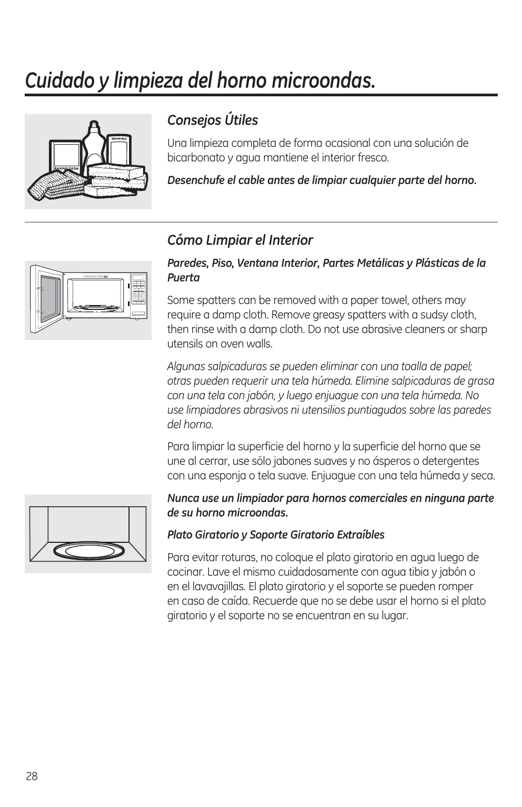### *Cuidado y limpieza del horno microondas.*



### *Consejos Útiles*

Una limpieza completa de forma ocasional con una solución de bicarbonato y agua mantiene el interior fresco.

*Desenchufe el cable antes de limpiar cualquier parte del horno.*

#### *Cómo Limpiar el Interior*



#### *Paredes, Piso, Ventana Interior, Partes Metálicas y Plásticas de la Puerta*

Some spatters can be removed with a paper towel, others may require a damp cloth. Remove greasy spatters with a sudsy cloth, then rinse with a damp cloth. Do not use abrasive cleaners or sharp utensils on oven walls.

*Algunas salpicaduras se pueden eliminar con una toalla de papel; otras pueden requerir una tela húmeda. Elimine salpicaduras de grasa con una tela con jabón, y luego enjuague con una tela húmeda. No use limpiadores abrasivos ni utensilios puntiagudos sobre las paredes del horno.*

Para limpiar la superficie del horno y la superficie del horno que se une al cerrar, use sólo jabones suaves y no ásperos o detergentes con una esponja o tela suave. Enjuague con una tela húmeda y seca.



#### *Nunca use un limpiador para hornos comerciales en ninguna parte de su horno microondas.*

#### *Plato Giratorio y Soporte Giratorio Extraíbles*

Para evitar roturas, no coloque el plato giratorio en agua luego de cocinar. Lave el mismo cuidadosamente con agua tibia y jabón o en el lavavajillas. El plato giratorio y el soporte se pueden romper en caso de caída. Recuerde que no se debe usar el horno si el plato giratorio y el soporte no se encuentran en su lugar.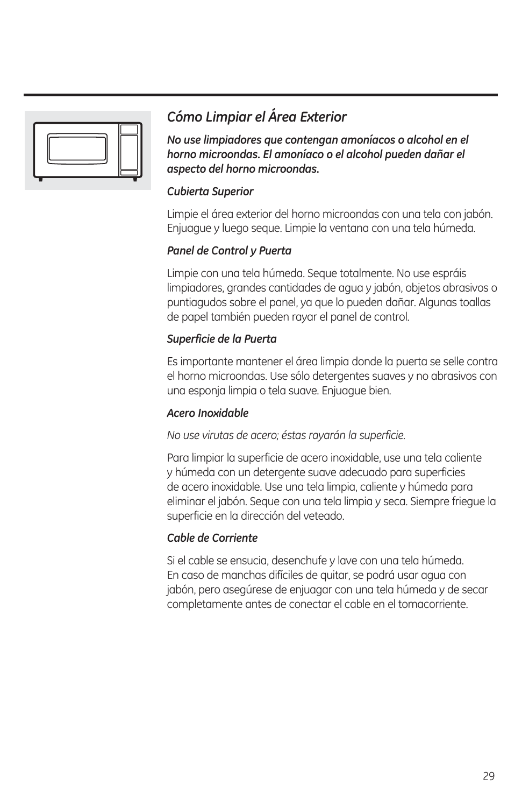

### *Cómo Limpiar el Área Exterior*

*No use limpiadores que contengan amoníacos o alcohol en el horno microondas. El amoníaco o el alcohol pueden dañar el aspecto del horno microondas.*

#### *Cubierta Superior*

Limpie el área exterior del horno microondas con una tela con jabón. Enjuague y luego seque. Limpie la ventana con una tela húmeda.

#### *Panel de Control y Puerta*

Limpie con una tela húmeda. Seque totalmente. No use espráis limpiadores, grandes cantidades de agua y jabón, objetos abrasivos o puntiagudos sobre el panel, ya que lo pueden dañar. Algunas toallas de papel también pueden rayar el panel de control.

#### *Superficie de la Puerta*

Es importante mantener el área limpia donde la puerta se selle contra el horno microondas. Use sólo detergentes suaves y no abrasivos con una esponja limpia o tela suave. Enjuague bien.

#### *Acero Inoxidable*

*No use virutas de acero; éstas rayarán la superficie.*

Para limpiar la superficie de acero inoxidable, use una tela caliente y húmeda con un detergente suave adecuado para superficies de acero inoxidable. Use una tela limpia, caliente y húmeda para eliminar el jabón. Seque con una tela limpia y seca. Siempre friegue la superficie en la dirección del veteado.

#### *Cable de Corriente*

Si el cable se ensucia, desenchufe y lave con una tela húmeda. En caso de manchas difíciles de quitar, se podrá usar agua con jabón, pero asegúrese de enjuagar con una tela húmeda y de secar completamente antes de conectar el cable en el tomacorriente.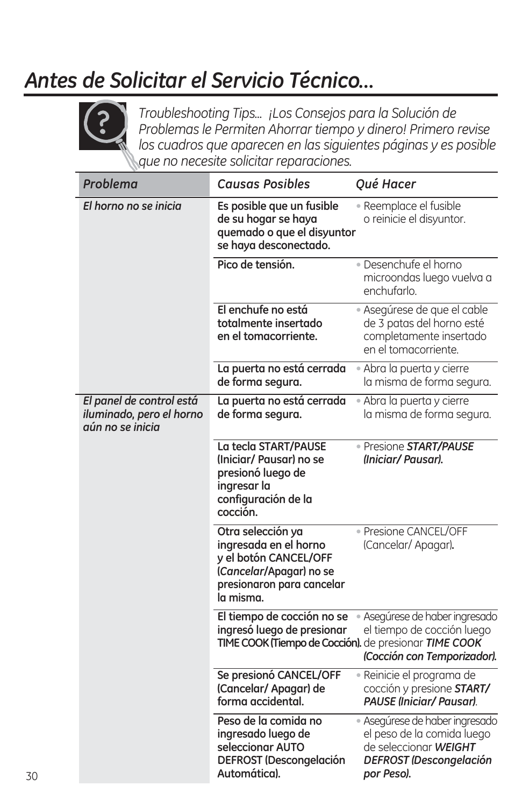## *Antes de Solicitar el Servicio Técnico…*



*Troubleshooting Tips... ¡Los Consejos para la Solución de Problemas le Permiten Ahorrar tiempo y dinero! Primero revise los cuadros que aparecen en las siguientes páginas y es posible que no necesite solicitar reparaciones.*

| Problema                                                                 | <b>Causas Posibles</b>                                                                                                                   | Qué Hacer                                                                                                                             |
|--------------------------------------------------------------------------|------------------------------------------------------------------------------------------------------------------------------------------|---------------------------------------------------------------------------------------------------------------------------------------|
| El horno no se inicia                                                    | Es posible que un fusible<br>de su hogar se haya<br>quemado o que el disyuntor<br>se haya desconectado.                                  | • Reemplace el fusible<br>o reinicie el disyuntor.                                                                                    |
|                                                                          | Pico de tensión.                                                                                                                         | · Desenchufe el horno<br>microondas luego vuelva a<br>enchufarlo.                                                                     |
|                                                                          | El enchufe no está<br>totalmente insertado<br>en el tomacorriente.                                                                       | • Asegúrese de que el cable<br>de 3 patas del horno esté<br>completamente insertado<br>en el tomacorriente.                           |
|                                                                          | La puerta no está cerrada<br>de forma segura.                                                                                            | · Abra la puerta y cierre<br>la misma de forma segura.                                                                                |
| El panel de control está<br>iluminado, pero el horno<br>aún no se inicia | La puerta no está cerrada<br>de forma segura.                                                                                            | • Abra la puerta y cierre<br>la misma de forma segura.                                                                                |
|                                                                          | La tecla START/PAUSE<br>(Iniciar/ Pausar) no se<br>presionó luego de<br>ingresar la<br>configuración de la<br>cocción.                   | · Presione START/PAUSE<br>(Iniciar/Pausar).                                                                                           |
|                                                                          | Otra selección ya<br>ingresada en el horno<br>y el botón CANCEL/OFF<br>(Cancelar/Apagar) no se<br>presionaron para cancelar<br>la misma. | · Presione CANCEL/OFF<br>(Cancelar/ Apagar).                                                                                          |
|                                                                          | El tiempo de cocción no se<br>ingresó luego de presionar<br>TIME COOK (Tiempo de Cocción). de presionar TIME COOK                        | · Asegúrese de haber ingresado<br>el tiempo de cocción luego<br>(Cocción con Temporizador).                                           |
|                                                                          | Se presionó CANCEL/OFF<br>(Cancelar/ Apagar) de<br>forma accidental.                                                                     | · Reinicie el programa de<br>cocción y presione START/<br>PAUSE (Iniciar/ Pausar).                                                    |
|                                                                          | Peso de la comida no<br>ingresado luego de<br>seleccionar AUTO<br><b>DEFROST (Descongelación</b><br>Automática).                         | · Asegúrese de haber ingresado<br>el peso de la comida luego<br>de seleccionar WEIGHT<br><b>DEFROST (Descongelación</b><br>por Peso). |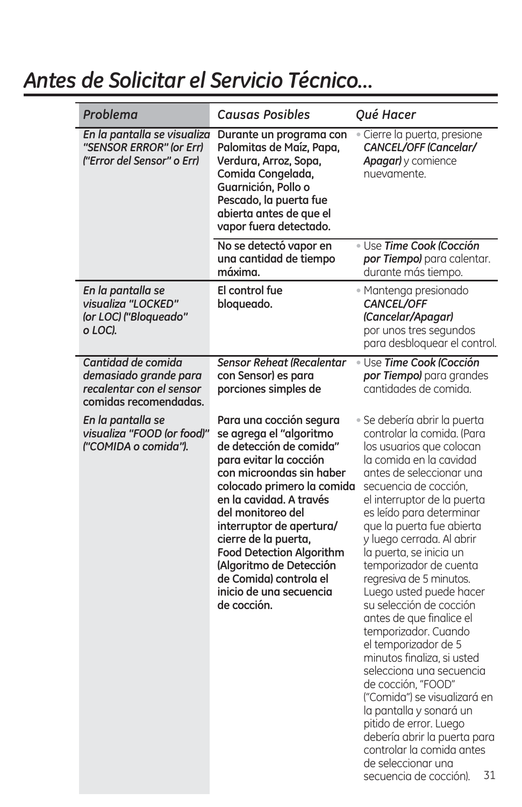### *Antes de Solicitar el Servicio Técnico…*

| Problema                                                                                         | <b>Causas Posibles</b>                                                                                                                                                                                                                                                                                                                                                                                  | Qué Hacer                                                                                                                                                                                                                                                                                                                                                                                                                                                                                                                                                                                                                                                                                                                                                                                             |
|--------------------------------------------------------------------------------------------------|---------------------------------------------------------------------------------------------------------------------------------------------------------------------------------------------------------------------------------------------------------------------------------------------------------------------------------------------------------------------------------------------------------|-------------------------------------------------------------------------------------------------------------------------------------------------------------------------------------------------------------------------------------------------------------------------------------------------------------------------------------------------------------------------------------------------------------------------------------------------------------------------------------------------------------------------------------------------------------------------------------------------------------------------------------------------------------------------------------------------------------------------------------------------------------------------------------------------------|
| En la pantalla se visualiza<br>"SENSOR ERROR" (or Err)<br>("Error del Sensor" o Err)             | Durante un programa con<br>Palomitas de Maíz, Papa,<br>Verdura, Arroz, Sopa,<br>Comida Congelada,<br>Guarnición, Pollo o<br>Pescado, la puerta fue<br>abierta antes de que el<br>vapor fuera detectado.                                                                                                                                                                                                 | · Cierre la puerta, presione<br><b>CANCEL/OFF (Cancelar/</b><br>Apagar) y comience<br>nuevamente.                                                                                                                                                                                                                                                                                                                                                                                                                                                                                                                                                                                                                                                                                                     |
|                                                                                                  | No se detectó vapor en<br>una cantidad de tiempo<br>máxima.                                                                                                                                                                                                                                                                                                                                             | · Use Time Cook (Cocción<br>por Tiempo) para calentar.<br>durante más tiempo.                                                                                                                                                                                                                                                                                                                                                                                                                                                                                                                                                                                                                                                                                                                         |
| En la pantalla se<br>visualiza "LOCKED"<br>(or LOC) ("Bloqueado"<br>o LOC).                      | El control fue<br>bloqueado.                                                                                                                                                                                                                                                                                                                                                                            | • Mantenga presionado<br>CANCEL/OFF<br>(Cancelar/Apagar)<br>por unos tres segundos<br>para desbloquear el control.                                                                                                                                                                                                                                                                                                                                                                                                                                                                                                                                                                                                                                                                                    |
| Cantidad de comida<br>demasiado grande para<br>recalentar con el sensor<br>comidas recomendadas. | <b>Sensor Reheat (Recalentar</b><br>con Sensor) es para<br>porciones simples de                                                                                                                                                                                                                                                                                                                         | · Use Time Cook (Cocción<br>por Tiempo) para grandes<br>cantidades de comida.                                                                                                                                                                                                                                                                                                                                                                                                                                                                                                                                                                                                                                                                                                                         |
| En la pantalla se<br>visualiza "FOOD (or food)"<br>l''COMIDA o comida'').                        | Para una cocción segura<br>se agrega el "algoritmo<br>de detección de comida"<br>para evitar la cocción<br>con microondas sin haber<br>colocado primero la comida<br>en la cavidad. A través<br>del monitoreo del<br>interruptor de apertura/<br>cierre de la puerta,<br><b>Food Detection Algorithm</b><br>(Algoritmo de Detección<br>de Comida) controla el<br>inicio de una secuencia<br>de cocción. | · Se debería abrir la puerta<br>controlar la comida. (Para<br>los usuarios que colocan<br>la comida en la cavidad<br>antes de seleccionar una<br>secuencia de cocción.<br>el interruptor de la puerta<br>es leído para determinar<br>que la puerta fue abierta<br>y luego cerrada. Al abrir<br>la puerta, se inicia un<br>temporizador de cuenta<br>regresiva de 5 minutos.<br>Luego usted puede hacer<br>su selección de cocción<br>antes de que finalice el<br>temporizador. Cuando<br>el temporizador de 5<br>minutos finaliza, si usted<br>selecciona una secuencia<br>de cocción, "FOOD"<br>("Comida") se visualizará en<br>la pantalla y sonará un<br>pitido de error. Luego<br>debería abrir la puerta para<br>controlar la comida antes<br>de seleccionar una<br>31<br>secuencia de cocción). |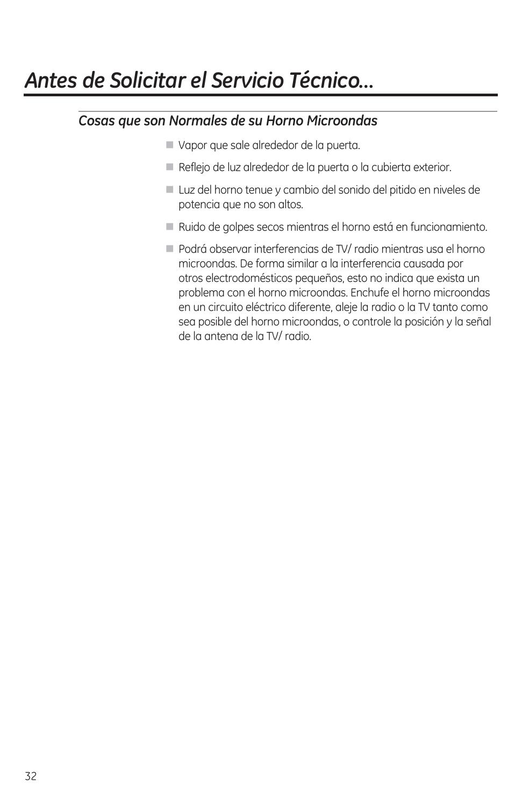### *Antes de Solicitar el Servicio Técnico…*

#### *Cosas que son Normales de su Horno Microondas*

- Vapor que sale alrededor de la puerta.
- Reflejo de luz alrededor de la puerta o la cubierta exterior.
- Luz del horno tenue y cambio del sonido del pitido en niveles de potencia que no son altos.
- Ruido de golpes secos mientras el horno está en funcionamiento.
- Podrá observar interferencias de TV/ radio mientras usa el horno microondas. De forma similar a la interferencia causada por otros electrodomésticos pequeños, esto no indica que exista un problema con el horno microondas. Enchufe el horno microondas en un circuito eléctrico diferente, aleje la radio o la TV tanto como sea posible del horno microondas, o controle la posición y la señal de la antena de la TV/ radio.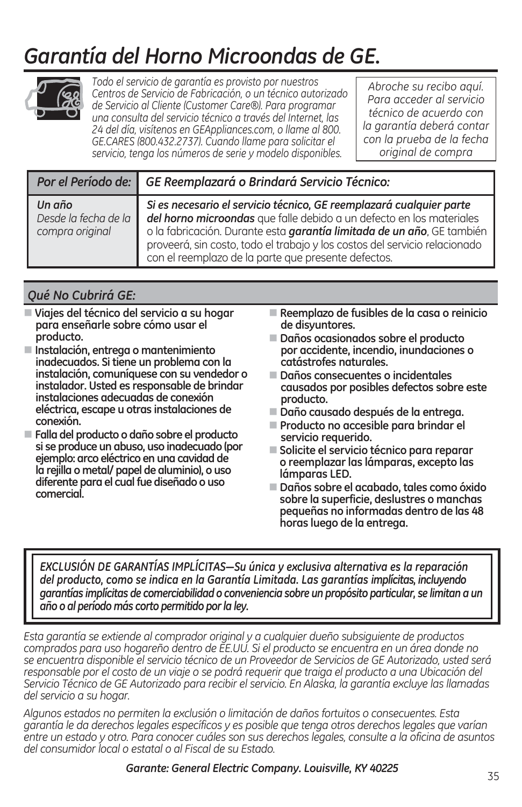## *Garantía del Horno Microondas de GE.*



*Todo el servicio de garantía es provisto por nuestros Centros de Servicio de Fabricación, o un técnico autorizado de Servicio al Cliente (Customer Care®). Para programar una consulta del servicio técnico a través del Internet, las 24 del día, visítenos en GEAppliances.com, o llame al 800. GE.CARES (800.432.2737). Cuando llame para solicitar el servicio, tenga los números de serie y modelo disponibles.*

*Abroche su recibo aquí. Para acceder al servicio técnico de acuerdo con la garantía deberá contar con la prueba de la fecha original de compra*

|                                                   | Por el Período de: GE Reemplazará o Brindará Servicio Técnico:                                                                                                                                                                                                                                                                                             |  |
|---------------------------------------------------|------------------------------------------------------------------------------------------------------------------------------------------------------------------------------------------------------------------------------------------------------------------------------------------------------------------------------------------------------------|--|
| Un año<br>Desde la fecha de la<br>compra original | Si es necesario el servicio técnico, GE reemplazará cualquier parte<br>del horno microondas que falle debido a un defecto en los materiales<br>o la fabricación. Durante esta garantía limitada de un año, GE también<br>proveerá, sin costo, todo el trabajo y los costos del servicio relacionado<br>con el reemplazo de la parte que presente defectos. |  |

#### *Qué No Cubrirá GE:*

- **Viajes del técnico del servicio a su hogar para enseñarle sobre cómo usar el producto.**
- **Instalación, entrega o mantenimiento inadecuados. Si tiene un problema con la instalación, comuníquese con su vendedor o instalador. Usted es responsable de brindar instalaciones adecuadas de conexión eléctrica, escape u otras instalaciones de conexión.**
- **Falla del producto o daño sobre el producto si se produce un abuso, uso inadecuado (por ejemplo: arco eléctrico en una cavidad de la rejilla o metal/ papel de aluminio), o uso diferente para el cual fue diseñado o uso comercial.**
- **Reemplazo de fusibles de la casa o reinicio de disyuntores.**
- **Daños ocasionados sobre el producto por accidente, incendio, inundaciones o catástrofes naturales.**
- **Daños consecuentes o incidentales causados por posibles defectos sobre este producto.**
- **Daño causado después de la entrega.**
- **Producto no accesible para brindar el servicio requerido.**
- **Solicite el servicio técnico para reparar o reemplazar las lámparas, excepto las lámparas LED.**
- **Daños sobre el acabado, tales como óxido sobre la superficie, deslustres o manchas pequeñas no informadas dentro de las 48 horas luego de la entrega.**

EXCLUSIÓN DE GARANTÍAS IMPLÍCITAS-Su única y exclusiva alternativa es la reparación *del producto, como se indica en la Garantía Limitada. Las garantías implícitas, incluyendo garantías implícitas de comerciabilidad o conveniencia sobre un propósito particular, se limitan a un año o al período más corto permitido por la ley.*

*Esta garantía se extiende al comprador original y a cualquier dueño subsiguiente de productos comprados para uso hogareño dentro de EE.UU. Si el producto se encuentra en un área donde no se encuentra disponible el servicio técnico de un Proveedor de Servicios de GE Autorizado, usted será*  responsable por el costo de un viaje o se podrá requerir que traiga el producto a una Ubicación del *Servicio Técnico de GE Autorizado para recibir el servicio. En Alaska, la garantía excluye las llamadas del servicio a su hogar.*

*Algunos estados no permiten la exclusión o limitación de daños fortuitos o consecuentes. Esta garantía le da derechos legales específicos y es posible que tenga otros derechos legales que varían entre un estado y otro. Para conocer cuáles son sus derechos legales, consulte a la oficina de asuntos del consumidor local o estatal o al Fiscal de su Estado.*